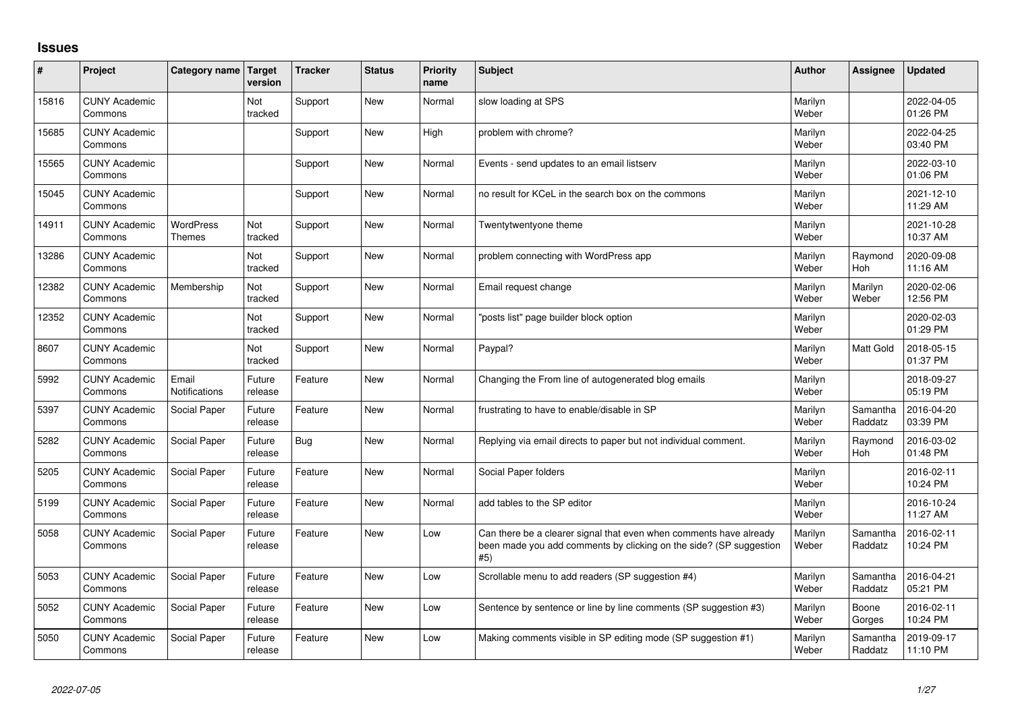## **Issues**

| ∦     | Project                         | Category name          | <b>Target</b><br>version | <b>Tracker</b> | <b>Status</b> | <b>Priority</b><br>name | <b>Subject</b>                                                                                                                                  | <b>Author</b>    | Assignee            | <b>Updated</b>         |
|-------|---------------------------------|------------------------|--------------------------|----------------|---------------|-------------------------|-------------------------------------------------------------------------------------------------------------------------------------------------|------------------|---------------------|------------------------|
| 15816 | <b>CUNY Academic</b><br>Commons |                        | Not<br>tracked           | Support        | <b>New</b>    | Normal                  | slow loading at SPS                                                                                                                             | Marilyn<br>Weber |                     | 2022-04-05<br>01:26 PM |
| 15685 | <b>CUNY Academic</b><br>Commons |                        |                          | Support        | <b>New</b>    | High                    | problem with chrome?                                                                                                                            | Marilyn<br>Weber |                     | 2022-04-25<br>03:40 PM |
| 15565 | <b>CUNY Academic</b><br>Commons |                        |                          | Support        | <b>New</b>    | Normal                  | Events - send updates to an email listserv                                                                                                      | Marilyn<br>Weber |                     | 2022-03-10<br>01:06 PM |
| 15045 | <b>CUNY Academic</b><br>Commons |                        |                          | Support        | <b>New</b>    | Normal                  | no result for KCeL in the search box on the commons                                                                                             | Marilyn<br>Weber |                     | 2021-12-10<br>11:29 AM |
| 14911 | <b>CUNY Academic</b><br>Commons | WordPress<br>Themes    | Not<br>tracked           | Support        | <b>New</b>    | Normal                  | Twentytwentyone theme                                                                                                                           | Marilyn<br>Weber |                     | 2021-10-28<br>10:37 AM |
| 13286 | <b>CUNY Academic</b><br>Commons |                        | Not<br>tracked           | Support        | <b>New</b>    | Normal                  | problem connecting with WordPress app                                                                                                           | Marilyn<br>Weber | Raymond<br>Hoh      | 2020-09-08<br>11:16 AM |
| 12382 | <b>CUNY Academic</b><br>Commons | Membership             | Not<br>tracked           | Support        | <b>New</b>    | Normal                  | Email request change                                                                                                                            | Marilyn<br>Weber | Marilyn<br>Weber    | 2020-02-06<br>12:56 PM |
| 12352 | <b>CUNY Academic</b><br>Commons |                        | Not<br>tracked           | Support        | <b>New</b>    | Normal                  | 'posts list" page builder block option                                                                                                          | Marilyn<br>Weber |                     | 2020-02-03<br>01:29 PM |
| 8607  | <b>CUNY Academic</b><br>Commons |                        | Not<br>tracked           | Support        | <b>New</b>    | Normal                  | Paypal?                                                                                                                                         | Marilyn<br>Weber | <b>Matt Gold</b>    | 2018-05-15<br>01:37 PM |
| 5992  | <b>CUNY Academic</b><br>Commons | Email<br>Notifications | Future<br>release        | Feature        | <b>New</b>    | Normal                  | Changing the From line of autogenerated blog emails                                                                                             | Marilyn<br>Weber |                     | 2018-09-27<br>05:19 PM |
| 5397  | <b>CUNY Academic</b><br>Commons | Social Paper           | Future<br>release        | Feature        | <b>New</b>    | Normal                  | frustrating to have to enable/disable in SP                                                                                                     | Marilyn<br>Weber | Samantha<br>Raddatz | 2016-04-20<br>03:39 PM |
| 5282  | <b>CUNY Academic</b><br>Commons | Social Paper           | Future<br>release        | <b>Bug</b>     | <b>New</b>    | Normal                  | Replying via email directs to paper but not individual comment.                                                                                 | Marilyn<br>Weber | Raymond<br>Hoh      | 2016-03-02<br>01:48 PM |
| 5205  | <b>CUNY Academic</b><br>Commons | Social Paper           | Future<br>release        | Feature        | <b>New</b>    | Normal                  | Social Paper folders                                                                                                                            | Marilyn<br>Weber |                     | 2016-02-11<br>10:24 PM |
| 5199  | <b>CUNY Academic</b><br>Commons | Social Paper           | Future<br>release        | Feature        | <b>New</b>    | Normal                  | add tables to the SP editor                                                                                                                     | Marilyn<br>Weber |                     | 2016-10-24<br>11:27 AM |
| 5058  | <b>CUNY Academic</b><br>Commons | Social Paper           | Future<br>release        | Feature        | <b>New</b>    | Low                     | Can there be a clearer signal that even when comments have already<br>been made you add comments by clicking on the side? (SP suggestion<br>#5) | Marilyn<br>Weber | Samantha<br>Raddatz | 2016-02-11<br>10:24 PM |
| 5053  | <b>CUNY Academic</b><br>Commons | Social Paper           | Future<br>release        | Feature        | <b>New</b>    | Low                     | Scrollable menu to add readers (SP suggestion #4)                                                                                               | Marilyn<br>Weber | Samantha<br>Raddatz | 2016-04-21<br>05:21 PM |
| 5052  | <b>CUNY Academic</b><br>Commons | Social Paper           | Future<br>release        | Feature        | <b>New</b>    | Low                     | Sentence by sentence or line by line comments (SP suggestion #3)                                                                                | Marilyn<br>Weber | Boone<br>Gorges     | 2016-02-11<br>10:24 PM |
| 5050  | <b>CUNY Academic</b><br>Commons | Social Paper           | Future<br>release        | Feature        | <b>New</b>    | Low                     | Making comments visible in SP editing mode (SP suggestion #1)                                                                                   | Marilyn<br>Weber | Samantha<br>Raddatz | 2019-09-17<br>11:10 PM |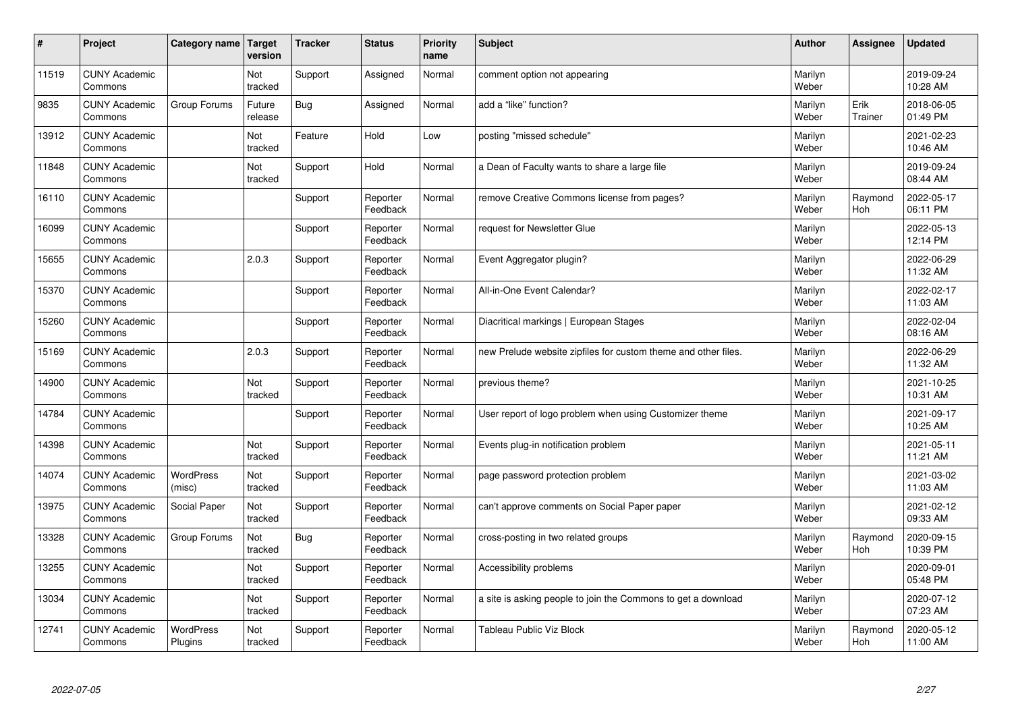| #     | Project                         | Category name               | Target<br>version | <b>Tracker</b> | <b>Status</b>        | <b>Priority</b><br>name | <b>Subject</b>                                                 | <b>Author</b>    | Assignee        | <b>Updated</b>         |
|-------|---------------------------------|-----------------------------|-------------------|----------------|----------------------|-------------------------|----------------------------------------------------------------|------------------|-----------------|------------------------|
| 11519 | <b>CUNY Academic</b><br>Commons |                             | Not<br>tracked    | Support        | Assigned             | Normal                  | comment option not appearing                                   | Marilyn<br>Weber |                 | 2019-09-24<br>10:28 AM |
| 9835  | <b>CUNY Academic</b><br>Commons | Group Forums                | Future<br>release | Bug            | Assigned             | Normal                  | add a "like" function?                                         | Marilyn<br>Weber | Erik<br>Trainer | 2018-06-05<br>01:49 PM |
| 13912 | <b>CUNY Academic</b><br>Commons |                             | Not<br>tracked    | Feature        | Hold                 | Low                     | posting "missed schedule"                                      | Marilyn<br>Weber |                 | 2021-02-23<br>10:46 AM |
| 11848 | <b>CUNY Academic</b><br>Commons |                             | Not<br>tracked    | Support        | Hold                 | Normal                  | a Dean of Faculty wants to share a large file                  | Marilyn<br>Weber |                 | 2019-09-24<br>08:44 AM |
| 16110 | <b>CUNY Academic</b><br>Commons |                             |                   | Support        | Reporter<br>Feedback | Normal                  | remove Creative Commons license from pages?                    | Marilyn<br>Weber | Raymond<br>Hoh  | 2022-05-17<br>06:11 PM |
| 16099 | <b>CUNY Academic</b><br>Commons |                             |                   | Support        | Reporter<br>Feedback | Normal                  | request for Newsletter Glue                                    | Marilyn<br>Weber |                 | 2022-05-13<br>12:14 PM |
| 15655 | <b>CUNY Academic</b><br>Commons |                             | 2.0.3             | Support        | Reporter<br>Feedback | Normal                  | Event Aggregator plugin?                                       | Marilyn<br>Weber |                 | 2022-06-29<br>11:32 AM |
| 15370 | <b>CUNY Academic</b><br>Commons |                             |                   | Support        | Reporter<br>Feedback | Normal                  | All-in-One Event Calendar?                                     | Marilyn<br>Weber |                 | 2022-02-17<br>11:03 AM |
| 15260 | <b>CUNY Academic</b><br>Commons |                             |                   | Support        | Reporter<br>Feedback | Normal                  | Diacritical markings   European Stages                         | Marilyn<br>Weber |                 | 2022-02-04<br>08:16 AM |
| 15169 | <b>CUNY Academic</b><br>Commons |                             | 2.0.3             | Support        | Reporter<br>Feedback | Normal                  | new Prelude website zipfiles for custom theme and other files. | Marilyn<br>Weber |                 | 2022-06-29<br>11:32 AM |
| 14900 | <b>CUNY Academic</b><br>Commons |                             | Not<br>tracked    | Support        | Reporter<br>Feedback | Normal                  | previous theme?                                                | Marilyn<br>Weber |                 | 2021-10-25<br>10:31 AM |
| 14784 | <b>CUNY Academic</b><br>Commons |                             |                   | Support        | Reporter<br>Feedback | Normal                  | User report of logo problem when using Customizer theme        | Marilyn<br>Weber |                 | 2021-09-17<br>10:25 AM |
| 14398 | <b>CUNY Academic</b><br>Commons |                             | Not<br>tracked    | Support        | Reporter<br>Feedback | Normal                  | Events plug-in notification problem                            | Marilyn<br>Weber |                 | 2021-05-11<br>11:21 AM |
| 14074 | <b>CUNY Academic</b><br>Commons | <b>WordPress</b><br>(misc)  | Not<br>tracked    | Support        | Reporter<br>Feedback | Normal                  | page password protection problem                               | Marilyn<br>Weber |                 | 2021-03-02<br>11:03 AM |
| 13975 | <b>CUNY Academic</b><br>Commons | Social Paper                | Not<br>tracked    | Support        | Reporter<br>Feedback | Normal                  | can't approve comments on Social Paper paper                   | Marilyn<br>Weber |                 | 2021-02-12<br>09:33 AM |
| 13328 | <b>CUNY Academic</b><br>Commons | Group Forums                | Not<br>tracked    | Bug            | Reporter<br>Feedback | Normal                  | cross-posting in two related groups                            | Marilyn<br>Weber | Raymond<br>Hoh  | 2020-09-15<br>10:39 PM |
| 13255 | <b>CUNY Academic</b><br>Commons |                             | Not<br>tracked    | Support        | Reporter<br>Feedback | Normal                  | Accessibility problems                                         | Marilyn<br>Weber |                 | 2020-09-01<br>05:48 PM |
| 13034 | <b>CUNY Academic</b><br>Commons |                             | Not<br>tracked    | Support        | Reporter<br>Feedback | Normal                  | a site is asking people to join the Commons to get a download  | Marilyn<br>Weber |                 | 2020-07-12<br>07:23 AM |
| 12741 | <b>CUNY Academic</b><br>Commons | <b>WordPress</b><br>Plugins | Not<br>tracked    | Support        | Reporter<br>Feedback | Normal                  | Tableau Public Viz Block                                       | Marilyn<br>Weber | Raymond<br>Hoh  | 2020-05-12<br>11:00 AM |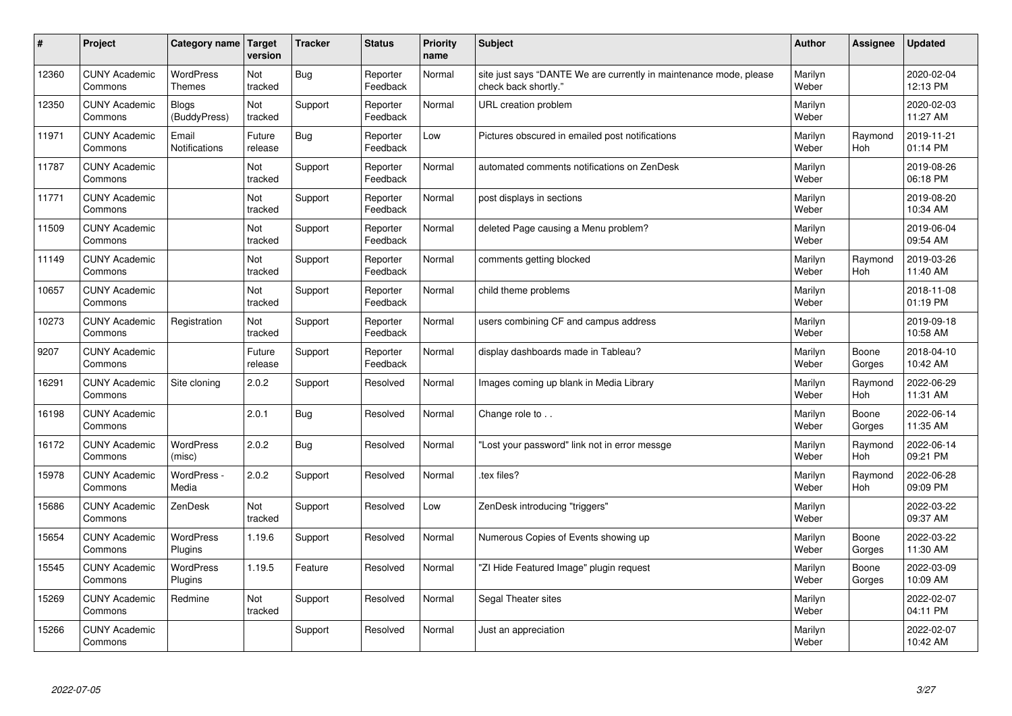| #     | Project                         | Category name   Target            | version           | <b>Tracker</b> | <b>Status</b>        | <b>Priority</b><br>name | <b>Subject</b>                                                                             | <b>Author</b>    | <b>Assignee</b>       | <b>Updated</b>         |
|-------|---------------------------------|-----------------------------------|-------------------|----------------|----------------------|-------------------------|--------------------------------------------------------------------------------------------|------------------|-----------------------|------------------------|
| 12360 | <b>CUNY Academic</b><br>Commons | <b>WordPress</b><br><b>Themes</b> | Not<br>tracked    | Bug            | Reporter<br>Feedback | Normal                  | site just says "DANTE We are currently in maintenance mode, please<br>check back shortly." | Marilyn<br>Weber |                       | 2020-02-04<br>12:13 PM |
| 12350 | <b>CUNY Academic</b><br>Commons | <b>Blogs</b><br>(BuddyPress)      | Not<br>tracked    | Support        | Reporter<br>Feedback | Normal                  | URL creation problem                                                                       | Marilyn<br>Weber |                       | 2020-02-03<br>11:27 AM |
| 11971 | <b>CUNY Academic</b><br>Commons | Email<br><b>Notifications</b>     | Future<br>release | Bug            | Reporter<br>Feedback | Low                     | Pictures obscured in emailed post notifications                                            | Marilyn<br>Weber | Raymond<br><b>Hoh</b> | 2019-11-21<br>01:14 PM |
| 11787 | <b>CUNY Academic</b><br>Commons |                                   | Not<br>tracked    | Support        | Reporter<br>Feedback | Normal                  | automated comments notifications on ZenDesk                                                | Marilyn<br>Weber |                       | 2019-08-26<br>06:18 PM |
| 11771 | <b>CUNY Academic</b><br>Commons |                                   | Not<br>tracked    | Support        | Reporter<br>Feedback | Normal                  | post displays in sections                                                                  | Marilyn<br>Weber |                       | 2019-08-20<br>10:34 AM |
| 11509 | <b>CUNY Academic</b><br>Commons |                                   | Not<br>tracked    | Support        | Reporter<br>Feedback | Normal                  | deleted Page causing a Menu problem?                                                       | Marilyn<br>Weber |                       | 2019-06-04<br>09:54 AM |
| 11149 | <b>CUNY Academic</b><br>Commons |                                   | Not<br>tracked    | Support        | Reporter<br>Feedback | Normal                  | comments getting blocked                                                                   | Marilyn<br>Weber | Raymond<br><b>Hoh</b> | 2019-03-26<br>11:40 AM |
| 10657 | <b>CUNY Academic</b><br>Commons |                                   | Not<br>tracked    | Support        | Reporter<br>Feedback | Normal                  | child theme problems                                                                       | Marilyn<br>Weber |                       | 2018-11-08<br>01:19 PM |
| 10273 | <b>CUNY Academic</b><br>Commons | Registration                      | Not<br>tracked    | Support        | Reporter<br>Feedback | Normal                  | users combining CF and campus address                                                      | Marilyn<br>Weber |                       | 2019-09-18<br>10:58 AM |
| 9207  | <b>CUNY Academic</b><br>Commons |                                   | Future<br>release | Support        | Reporter<br>Feedback | Normal                  | display dashboards made in Tableau?                                                        | Marilyn<br>Weber | Boone<br>Gorges       | 2018-04-10<br>10:42 AM |
| 16291 | <b>CUNY Academic</b><br>Commons | Site cloning                      | 2.0.2             | Support        | Resolved             | Normal                  | Images coming up blank in Media Library                                                    | Marilyn<br>Weber | Raymond<br>Hoh        | 2022-06-29<br>11:31 AM |
| 16198 | <b>CUNY Academic</b><br>Commons |                                   | 2.0.1             | Bug            | Resolved             | Normal                  | Change role to                                                                             | Marilyn<br>Weber | Boone<br>Gorges       | 2022-06-14<br>11:35 AM |
| 16172 | <b>CUNY Academic</b><br>Commons | <b>WordPress</b><br>(misc)        | 2.0.2             | Bug            | Resolved             | Normal                  | 'Lost your password" link not in error messge                                              | Marilyn<br>Weber | Raymond<br>Hoh        | 2022-06-14<br>09:21 PM |
| 15978 | <b>CUNY Academic</b><br>Commons | WordPress -<br>Media              | 2.0.2             | Support        | Resolved             | Normal                  | tex files?                                                                                 | Marilyn<br>Weber | Raymond<br>Hoh        | 2022-06-28<br>09:09 PM |
| 15686 | <b>CUNY Academic</b><br>Commons | ZenDesk                           | Not<br>tracked    | Support        | Resolved             | Low                     | ZenDesk introducing "triggers"                                                             | Marilyn<br>Weber |                       | 2022-03-22<br>09:37 AM |
| 15654 | <b>CUNY Academic</b><br>Commons | WordPress<br>Plugins              | 1.19.6            | Support        | Resolved             | Normal                  | Numerous Copies of Events showing up                                                       | Marilyn<br>Weber | Boone<br>Gorges       | 2022-03-22<br>11:30 AM |
| 15545 | <b>CUNY Academic</b><br>Commons | <b>WordPress</b><br>Plugins       | 1.19.5            | Feature        | Resolved             | Normal                  | 'ZI Hide Featured Image" plugin request                                                    | Marilyn<br>Weber | Boone<br>Gorges       | 2022-03-09<br>10:09 AM |
| 15269 | <b>CUNY Academic</b><br>Commons | Redmine                           | Not<br>tracked    | Support        | Resolved             | Normal                  | Segal Theater sites                                                                        | Marilyn<br>Weber |                       | 2022-02-07<br>04:11 PM |
| 15266 | <b>CUNY Academic</b><br>Commons |                                   |                   | Support        | Resolved             | Normal                  | Just an appreciation                                                                       | Marilyn<br>Weber |                       | 2022-02-07<br>10:42 AM |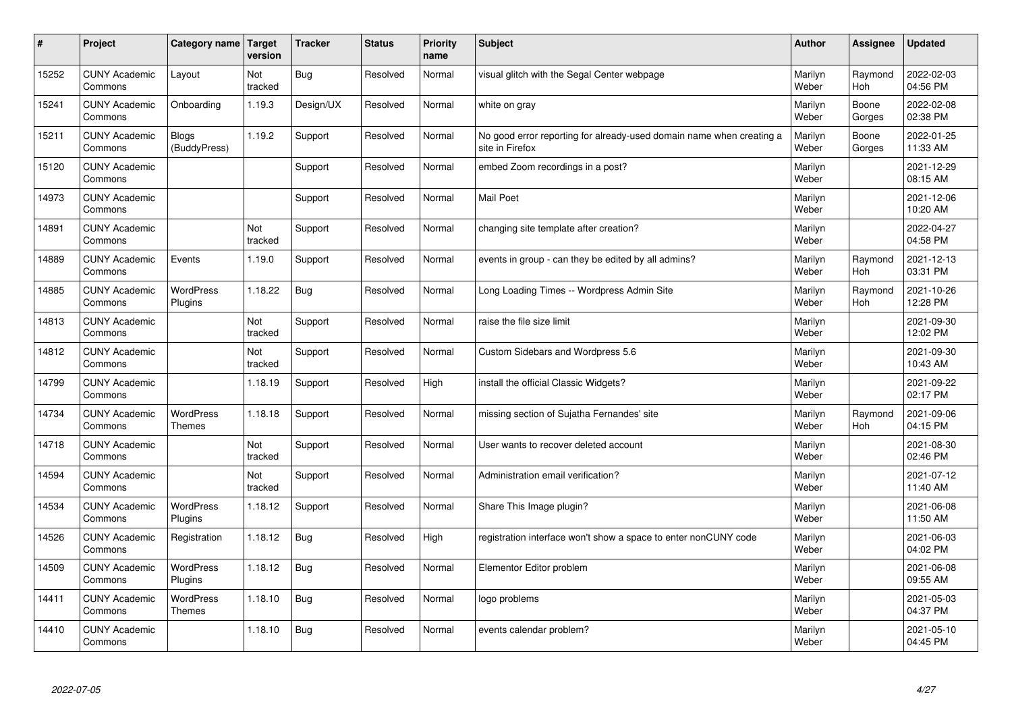| #     | Project                         | Category name   Target             | version        | <b>Tracker</b> | <b>Status</b> | <b>Priority</b><br>name | <b>Subject</b>                                                                          | <b>Author</b>    | <b>Assignee</b>       | <b>Updated</b>         |
|-------|---------------------------------|------------------------------------|----------------|----------------|---------------|-------------------------|-----------------------------------------------------------------------------------------|------------------|-----------------------|------------------------|
| 15252 | <b>CUNY Academic</b><br>Commons | Layout                             | Not<br>tracked | Bug            | Resolved      | Normal                  | visual glitch with the Segal Center webpage                                             | Marilyn<br>Weber | Raymond<br><b>Hoh</b> | 2022-02-03<br>04:56 PM |
| 15241 | <b>CUNY Academic</b><br>Commons | Onboarding                         | 1.19.3         | Design/UX      | Resolved      | Normal                  | white on gray                                                                           | Marilyn<br>Weber | Boone<br>Gorges       | 2022-02-08<br>02:38 PM |
| 15211 | <b>CUNY Academic</b><br>Commons | <b>Blogs</b><br>(BuddyPress)       | 1.19.2         | Support        | Resolved      | Normal                  | No good error reporting for already-used domain name when creating a<br>site in Firefox | Marilyn<br>Weber | Boone<br>Gorges       | 2022-01-25<br>11:33 AM |
| 15120 | <b>CUNY Academic</b><br>Commons |                                    |                | Support        | Resolved      | Normal                  | embed Zoom recordings in a post?                                                        | Marilyn<br>Weber |                       | 2021-12-29<br>08:15 AM |
| 14973 | <b>CUNY Academic</b><br>Commons |                                    |                | Support        | Resolved      | Normal                  | <b>Mail Poet</b>                                                                        | Marilyn<br>Weber |                       | 2021-12-06<br>10:20 AM |
| 14891 | <b>CUNY Academic</b><br>Commons |                                    | Not<br>tracked | Support        | Resolved      | Normal                  | changing site template after creation?                                                  | Marilyn<br>Weber |                       | 2022-04-27<br>04:58 PM |
| 14889 | <b>CUNY Academic</b><br>Commons | Events                             | 1.19.0         | Support        | Resolved      | Normal                  | events in group - can they be edited by all admins?                                     | Marilyn<br>Weber | Raymond<br><b>Hoh</b> | 2021-12-13<br>03:31 PM |
| 14885 | <b>CUNY Academic</b><br>Commons | <b>WordPress</b><br><b>Plugins</b> | 1.18.22        | Bug            | Resolved      | Normal                  | Long Loading Times -- Wordpress Admin Site                                              | Marilyn<br>Weber | Raymond<br><b>Hoh</b> | 2021-10-26<br>12:28 PM |
| 14813 | <b>CUNY Academic</b><br>Commons |                                    | Not<br>tracked | Support        | Resolved      | Normal                  | raise the file size limit                                                               | Marilyn<br>Weber |                       | 2021-09-30<br>12:02 PM |
| 14812 | <b>CUNY Academic</b><br>Commons |                                    | Not<br>tracked | Support        | Resolved      | Normal                  | Custom Sidebars and Wordpress 5.6                                                       | Marilyn<br>Weber |                       | 2021-09-30<br>10:43 AM |
| 14799 | <b>CUNY Academic</b><br>Commons |                                    | 1.18.19        | Support        | Resolved      | High                    | install the official Classic Widgets?                                                   | Marilyn<br>Weber |                       | 2021-09-22<br>02:17 PM |
| 14734 | <b>CUNY Academic</b><br>Commons | <b>WordPress</b><br><b>Themes</b>  | 1.18.18        | Support        | Resolved      | Normal                  | missing section of Sujatha Fernandes' site                                              | Marilyn<br>Weber | Raymond<br><b>Hoh</b> | 2021-09-06<br>04:15 PM |
| 14718 | <b>CUNY Academic</b><br>Commons |                                    | Not<br>tracked | Support        | Resolved      | Normal                  | User wants to recover deleted account                                                   | Marilyn<br>Weber |                       | 2021-08-30<br>02:46 PM |
| 14594 | <b>CUNY Academic</b><br>Commons |                                    | Not<br>tracked | Support        | Resolved      | Normal                  | Administration email verification?                                                      | Marilyn<br>Weber |                       | 2021-07-12<br>11:40 AM |
| 14534 | <b>CUNY Academic</b><br>Commons | <b>WordPress</b><br>Plugins        | 1.18.12        | Support        | Resolved      | Normal                  | Share This Image plugin?                                                                | Marilyn<br>Weber |                       | 2021-06-08<br>11:50 AM |
| 14526 | <b>CUNY Academic</b><br>Commons | Registration                       | 1.18.12        | Bug            | Resolved      | High                    | registration interface won't show a space to enter nonCUNY code                         | Marilyn<br>Weber |                       | 2021-06-03<br>04:02 PM |
| 14509 | <b>CUNY Academic</b><br>Commons | WordPress<br>Plugins               | 1.18.12        | Bug            | Resolved      | Normal                  | Elementor Editor problem                                                                | Marilyn<br>Weber |                       | 2021-06-08<br>09:55 AM |
| 14411 | <b>CUNY Academic</b><br>Commons | WordPress<br><b>Themes</b>         | 1.18.10        | Bug            | Resolved      | Normal                  | logo problems                                                                           | Marilyn<br>Weber |                       | 2021-05-03<br>04:37 PM |
| 14410 | <b>CUNY Academic</b><br>Commons |                                    | 1.18.10        | Bug            | Resolved      | Normal                  | events calendar problem?                                                                | Marilyn<br>Weber |                       | 2021-05-10<br>04:45 PM |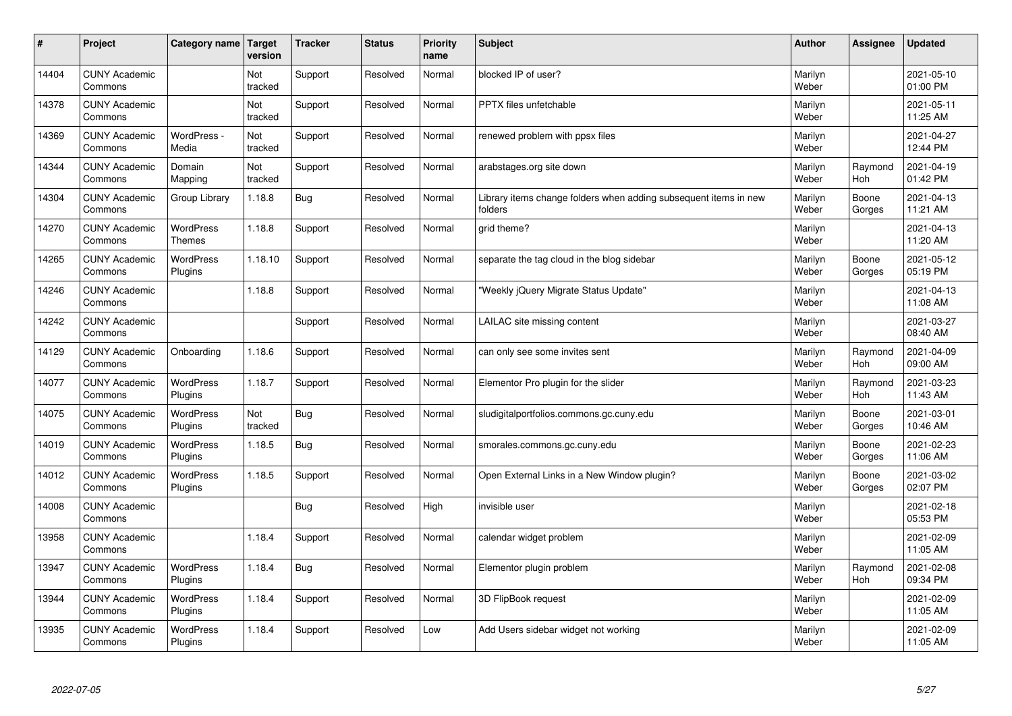| $\sharp$ | Project                         | Category name   Target            | version        | <b>Tracker</b> | <b>Status</b> | <b>Priority</b><br>name | <b>Subject</b>                                                              | <b>Author</b>    | Assignee              | <b>Updated</b>         |
|----------|---------------------------------|-----------------------------------|----------------|----------------|---------------|-------------------------|-----------------------------------------------------------------------------|------------------|-----------------------|------------------------|
| 14404    | <b>CUNY Academic</b><br>Commons |                                   | Not<br>tracked | Support        | Resolved      | Normal                  | blocked IP of user?                                                         | Marilyn<br>Weber |                       | 2021-05-10<br>01:00 PM |
| 14378    | <b>CUNY Academic</b><br>Commons |                                   | Not<br>tracked | Support        | Resolved      | Normal                  | <b>PPTX</b> files unfetchable                                               | Marilyn<br>Weber |                       | 2021-05-11<br>11:25 AM |
| 14369    | <b>CUNY Academic</b><br>Commons | WordPress -<br>Media              | Not<br>tracked | Support        | Resolved      | Normal                  | renewed problem with ppsx files                                             | Marilyn<br>Weber |                       | 2021-04-27<br>12:44 PM |
| 14344    | <b>CUNY Academic</b><br>Commons | Domain<br>Mapping                 | Not<br>tracked | Support        | Resolved      | Normal                  | arabstages.org site down                                                    | Marilyn<br>Weber | Raymond<br>Hoh        | 2021-04-19<br>01:42 PM |
| 14304    | <b>CUNY Academic</b><br>Commons | Group Library                     | 1.18.8         | Bug            | Resolved      | Normal                  | Library items change folders when adding subsequent items in new<br>folders | Marilyn<br>Weber | Boone<br>Gorges       | 2021-04-13<br>11:21 AM |
| 14270    | <b>CUNY Academic</b><br>Commons | <b>WordPress</b><br><b>Themes</b> | 1.18.8         | Support        | Resolved      | Normal                  | grid theme?                                                                 | Marilyn<br>Weber |                       | 2021-04-13<br>11:20 AM |
| 14265    | <b>CUNY Academic</b><br>Commons | <b>WordPress</b><br>Plugins       | 1.18.10        | Support        | Resolved      | Normal                  | separate the tag cloud in the blog sidebar                                  | Marilyn<br>Weber | Boone<br>Gorges       | 2021-05-12<br>05:19 PM |
| 14246    | <b>CUNY Academic</b><br>Commons |                                   | 1.18.8         | Support        | Resolved      | Normal                  | 'Weekly jQuery Migrate Status Update"                                       | Marilyn<br>Weber |                       | 2021-04-13<br>11:08 AM |
| 14242    | <b>CUNY Academic</b><br>Commons |                                   |                | Support        | Resolved      | Normal                  | LAILAC site missing content                                                 | Marilyn<br>Weber |                       | 2021-03-27<br>08:40 AM |
| 14129    | <b>CUNY Academic</b><br>Commons | Onboarding                        | 1.18.6         | Support        | Resolved      | Normal                  | can only see some invites sent                                              | Marilyn<br>Weber | Raymond<br><b>Hoh</b> | 2021-04-09<br>09:00 AM |
| 14077    | <b>CUNY Academic</b><br>Commons | <b>WordPress</b><br>Plugins       | 1.18.7         | Support        | Resolved      | Normal                  | Elementor Pro plugin for the slider                                         | Marilyn<br>Weber | Raymond<br>Hoh        | 2021-03-23<br>11:43 AM |
| 14075    | <b>CUNY Academic</b><br>Commons | <b>WordPress</b><br>Plugins       | Not<br>tracked | Bug            | Resolved      | Normal                  | sludigitalportfolios.commons.gc.cuny.edu                                    | Marilyn<br>Weber | Boone<br>Gorges       | 2021-03-01<br>10:46 AM |
| 14019    | <b>CUNY Academic</b><br>Commons | <b>WordPress</b><br>Plugins       | 1.18.5         | Bug            | Resolved      | Normal                  | smorales.commons.gc.cuny.edu                                                | Marilyn<br>Weber | Boone<br>Gorges       | 2021-02-23<br>11:06 AM |
| 14012    | <b>CUNY Academic</b><br>Commons | <b>WordPress</b><br>Plugins       | 1.18.5         | Support        | Resolved      | Normal                  | Open External Links in a New Window plugin?                                 | Marilyn<br>Weber | Boone<br>Gorges       | 2021-03-02<br>02:07 PM |
| 14008    | <b>CUNY Academic</b><br>Commons |                                   |                | Bug            | Resolved      | High                    | invisible user                                                              | Marilyn<br>Weber |                       | 2021-02-18<br>05:53 PM |
| 13958    | <b>CUNY Academic</b><br>Commons |                                   | 1.18.4         | Support        | Resolved      | Normal                  | calendar widget problem                                                     | Marilyn<br>Weber |                       | 2021-02-09<br>11:05 AM |
| 13947    | <b>CUNY Academic</b><br>Commons | WordPress<br>Plugins              | 1.18.4         | Bug            | Resolved      | Normal                  | Elementor plugin problem                                                    | Marilyn<br>Weber | Raymond<br>Hoh        | 2021-02-08<br>09:34 PM |
| 13944    | <b>CUNY Academic</b><br>Commons | <b>WordPress</b><br>Plugins       | 1.18.4         | Support        | Resolved      | Normal                  | 3D FlipBook request                                                         | Marilyn<br>Weber |                       | 2021-02-09<br>11:05 AM |
| 13935    | <b>CUNY Academic</b><br>Commons | WordPress<br>Plugins              | 1.18.4         | Support        | Resolved      | Low                     | Add Users sidebar widget not working                                        | Marilyn<br>Weber |                       | 2021-02-09<br>11:05 AM |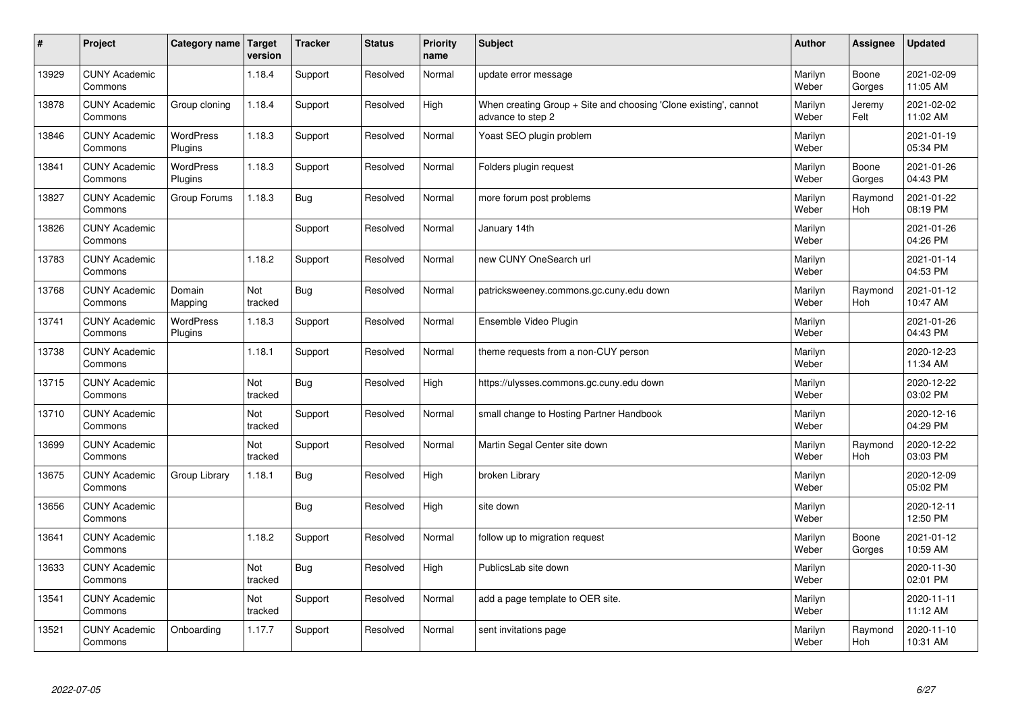| $\sharp$ | Project                         | Category name   Target      | version        | <b>Tracker</b> | <b>Status</b> | <b>Priority</b><br>name | <b>Subject</b>                                                                        | <b>Author</b>    | Assignee              | <b>Updated</b>         |
|----------|---------------------------------|-----------------------------|----------------|----------------|---------------|-------------------------|---------------------------------------------------------------------------------------|------------------|-----------------------|------------------------|
| 13929    | <b>CUNY Academic</b><br>Commons |                             | 1.18.4         | Support        | Resolved      | Normal                  | update error message                                                                  | Marilyn<br>Weber | Boone<br>Gorges       | 2021-02-09<br>11:05 AM |
| 13878    | <b>CUNY Academic</b><br>Commons | Group cloning               | 1.18.4         | Support        | Resolved      | High                    | When creating Group + Site and choosing 'Clone existing', cannot<br>advance to step 2 | Marilyn<br>Weber | Jeremy<br>Felt        | 2021-02-02<br>11:02 AM |
| 13846    | <b>CUNY Academic</b><br>Commons | <b>WordPress</b><br>Plugins | 1.18.3         | Support        | Resolved      | Normal                  | Yoast SEO plugin problem                                                              | Marilyn<br>Weber |                       | 2021-01-19<br>05:34 PM |
| 13841    | <b>CUNY Academic</b><br>Commons | <b>WordPress</b><br>Plugins | 1.18.3         | Support        | Resolved      | Normal                  | Folders plugin request                                                                | Marilyn<br>Weber | Boone<br>Gorges       | 2021-01-26<br>04:43 PM |
| 13827    | <b>CUNY Academic</b><br>Commons | Group Forums                | 1.18.3         | Bug            | Resolved      | Normal                  | more forum post problems                                                              | Marilyn<br>Weber | Raymond<br>Hoh        | 2021-01-22<br>08:19 PM |
| 13826    | <b>CUNY Academic</b><br>Commons |                             |                | Support        | Resolved      | Normal                  | January 14th                                                                          | Marilyn<br>Weber |                       | 2021-01-26<br>04:26 PM |
| 13783    | <b>CUNY Academic</b><br>Commons |                             | 1.18.2         | Support        | Resolved      | Normal                  | new CUNY OneSearch url                                                                | Marilyn<br>Weber |                       | 2021-01-14<br>04:53 PM |
| 13768    | <b>CUNY Academic</b><br>Commons | Domain<br>Mapping           | Not<br>tracked | Bug            | Resolved      | Normal                  | patricksweeney.commons.gc.cuny.edu down                                               | Marilyn<br>Weber | Raymond<br><b>Hoh</b> | 2021-01-12<br>10:47 AM |
| 13741    | <b>CUNY Academic</b><br>Commons | <b>WordPress</b><br>Plugins | 1.18.3         | Support        | Resolved      | Normal                  | Ensemble Video Plugin                                                                 | Marilyn<br>Weber |                       | 2021-01-26<br>04:43 PM |
| 13738    | <b>CUNY Academic</b><br>Commons |                             | 1.18.1         | Support        | Resolved      | Normal                  | theme requests from a non-CUY person                                                  | Marilyn<br>Weber |                       | 2020-12-23<br>11:34 AM |
| 13715    | <b>CUNY Academic</b><br>Commons |                             | Not<br>tracked | <b>Bug</b>     | Resolved      | High                    | https://ulysses.commons.gc.cuny.edu down                                              | Marilyn<br>Weber |                       | 2020-12-22<br>03:02 PM |
| 13710    | <b>CUNY Academic</b><br>Commons |                             | Not<br>tracked | Support        | Resolved      | Normal                  | small change to Hosting Partner Handbook                                              | Marilyn<br>Weber |                       | 2020-12-16<br>04:29 PM |
| 13699    | <b>CUNY Academic</b><br>Commons |                             | Not<br>tracked | Support        | Resolved      | Normal                  | Martin Segal Center site down                                                         | Marilyn<br>Weber | Raymond<br>Hoh        | 2020-12-22<br>03:03 PM |
| 13675    | <b>CUNY Academic</b><br>Commons | Group Library               | 1.18.1         | Bug            | Resolved      | High                    | broken Library                                                                        | Marilyn<br>Weber |                       | 2020-12-09<br>05:02 PM |
| 13656    | <b>CUNY Academic</b><br>Commons |                             |                | Bug            | Resolved      | High                    | site down                                                                             | Marilyn<br>Weber |                       | 2020-12-11<br>12:50 PM |
| 13641    | <b>CUNY Academic</b><br>Commons |                             | 1.18.2         | Support        | Resolved      | Normal                  | follow up to migration request                                                        | Marilyn<br>Weber | Boone<br>Gorges       | 2021-01-12<br>10:59 AM |
| 13633    | <b>CUNY Academic</b><br>Commons |                             | Not<br>tracked | Bug            | Resolved      | High                    | PublicsLab site down                                                                  | Marilyn<br>Weber |                       | 2020-11-30<br>02:01 PM |
| 13541    | <b>CUNY Academic</b><br>Commons |                             | Not<br>tracked | Support        | Resolved      | Normal                  | add a page template to OER site.                                                      | Marilyn<br>Weber |                       | 2020-11-11<br>11:12 AM |
| 13521    | <b>CUNY Academic</b><br>Commons | Onboarding                  | 1.17.7         | Support        | Resolved      | Normal                  | sent invitations page                                                                 | Marilyn<br>Weber | Raymond<br>Hoh        | 2020-11-10<br>10:31 AM |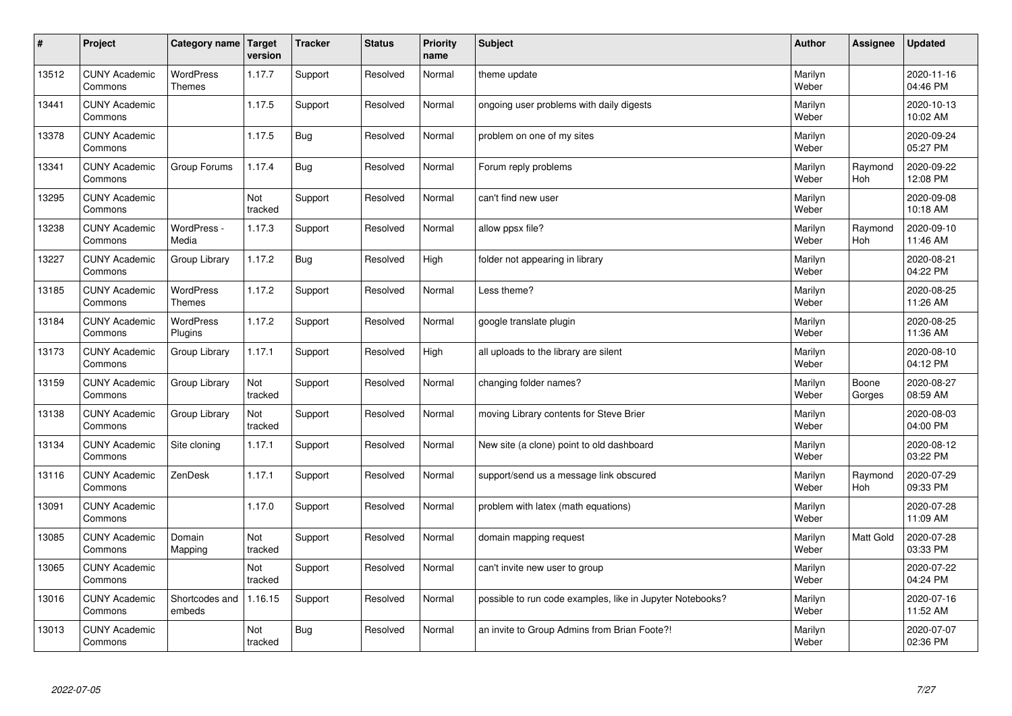| $\sharp$ | Project                         | Category name   Target            | version        | <b>Tracker</b> | <b>Status</b> | <b>Priority</b><br>name | <b>Subject</b>                                            | <b>Author</b>    | Assignee              | <b>Updated</b>         |
|----------|---------------------------------|-----------------------------------|----------------|----------------|---------------|-------------------------|-----------------------------------------------------------|------------------|-----------------------|------------------------|
| 13512    | <b>CUNY Academic</b><br>Commons | <b>WordPress</b><br><b>Themes</b> | 1.17.7         | Support        | Resolved      | Normal                  | theme update                                              | Marilyn<br>Weber |                       | 2020-11-16<br>04:46 PM |
| 13441    | <b>CUNY Academic</b><br>Commons |                                   | 1.17.5         | Support        | Resolved      | Normal                  | ongoing user problems with daily digests                  | Marilyn<br>Weber |                       | 2020-10-13<br>10:02 AM |
| 13378    | <b>CUNY Academic</b><br>Commons |                                   | 1.17.5         | Bug            | Resolved      | Normal                  | problem on one of my sites                                | Marilyn<br>Weber |                       | 2020-09-24<br>05:27 PM |
| 13341    | <b>CUNY Academic</b><br>Commons | Group Forums                      | 1.17.4         | Bug            | Resolved      | Normal                  | Forum reply problems                                      | Marilyn<br>Weber | Raymond<br><b>Hoh</b> | 2020-09-22<br>12:08 PM |
| 13295    | <b>CUNY Academic</b><br>Commons |                                   | Not<br>tracked | Support        | Resolved      | Normal                  | can't find new user                                       | Marilyn<br>Weber |                       | 2020-09-08<br>10:18 AM |
| 13238    | <b>CUNY Academic</b><br>Commons | WordPress -<br>Media              | 1.17.3         | Support        | Resolved      | Normal                  | allow ppsx file?                                          | Marilyn<br>Weber | Raymond<br>Hoh        | 2020-09-10<br>11:46 AM |
| 13227    | <b>CUNY Academic</b><br>Commons | Group Library                     | 1.17.2         | Bug            | Resolved      | High                    | folder not appearing in library                           | Marilyn<br>Weber |                       | 2020-08-21<br>04:22 PM |
| 13185    | <b>CUNY Academic</b><br>Commons | <b>WordPress</b><br><b>Themes</b> | 1.17.2         | Support        | Resolved      | Normal                  | Less theme?                                               | Marilyn<br>Weber |                       | 2020-08-25<br>11:26 AM |
| 13184    | <b>CUNY Academic</b><br>Commons | <b>WordPress</b><br>Plugins       | 1.17.2         | Support        | Resolved      | Normal                  | google translate plugin                                   | Marilyn<br>Weber |                       | 2020-08-25<br>11:36 AM |
| 13173    | <b>CUNY Academic</b><br>Commons | Group Library                     | 1.17.1         | Support        | Resolved      | High                    | all uploads to the library are silent                     | Marilyn<br>Weber |                       | 2020-08-10<br>04:12 PM |
| 13159    | <b>CUNY Academic</b><br>Commons | Group Library                     | Not<br>tracked | Support        | Resolved      | Normal                  | changing folder names?                                    | Marilyn<br>Weber | Boone<br>Gorges       | 2020-08-27<br>08:59 AM |
| 13138    | <b>CUNY Academic</b><br>Commons | Group Library                     | Not<br>tracked | Support        | Resolved      | Normal                  | moving Library contents for Steve Brier                   | Marilyn<br>Weber |                       | 2020-08-03<br>04:00 PM |
| 13134    | <b>CUNY Academic</b><br>Commons | Site cloning                      | 1.17.1         | Support        | Resolved      | Normal                  | New site (a clone) point to old dashboard                 | Marilyn<br>Weber |                       | 2020-08-12<br>03:22 PM |
| 13116    | <b>CUNY Academic</b><br>Commons | ZenDesk                           | 1.17.1         | Support        | Resolved      | Normal                  | support/send us a message link obscured                   | Marilyn<br>Weber | Raymond<br>Hoh        | 2020-07-29<br>09:33 PM |
| 13091    | <b>CUNY Academic</b><br>Commons |                                   | 1.17.0         | Support        | Resolved      | Normal                  | problem with latex (math equations)                       | Marilyn<br>Weber |                       | 2020-07-28<br>11:09 AM |
| 13085    | <b>CUNY Academic</b><br>Commons | Domain<br>Mapping                 | Not<br>tracked | Support        | Resolved      | Normal                  | domain mapping request                                    | Marilyn<br>Weber | <b>Matt Gold</b>      | 2020-07-28<br>03:33 PM |
| 13065    | <b>CUNY Academic</b><br>Commons |                                   | Not<br>tracked | Support        | Resolved      | Normal                  | can't invite new user to group                            | Marilyn<br>Weber |                       | 2020-07-22<br>04:24 PM |
| 13016    | <b>CUNY Academic</b><br>Commons | Shortcodes and<br>embeds          | 1.16.15        | Support        | Resolved      | Normal                  | possible to run code examples, like in Jupyter Notebooks? | Marilyn<br>Weber |                       | 2020-07-16<br>11:52 AM |
| 13013    | <b>CUNY Academic</b><br>Commons |                                   | Not<br>tracked | <b>Bug</b>     | Resolved      | Normal                  | an invite to Group Admins from Brian Foote?!              | Marilyn<br>Weber |                       | 2020-07-07<br>02:36 PM |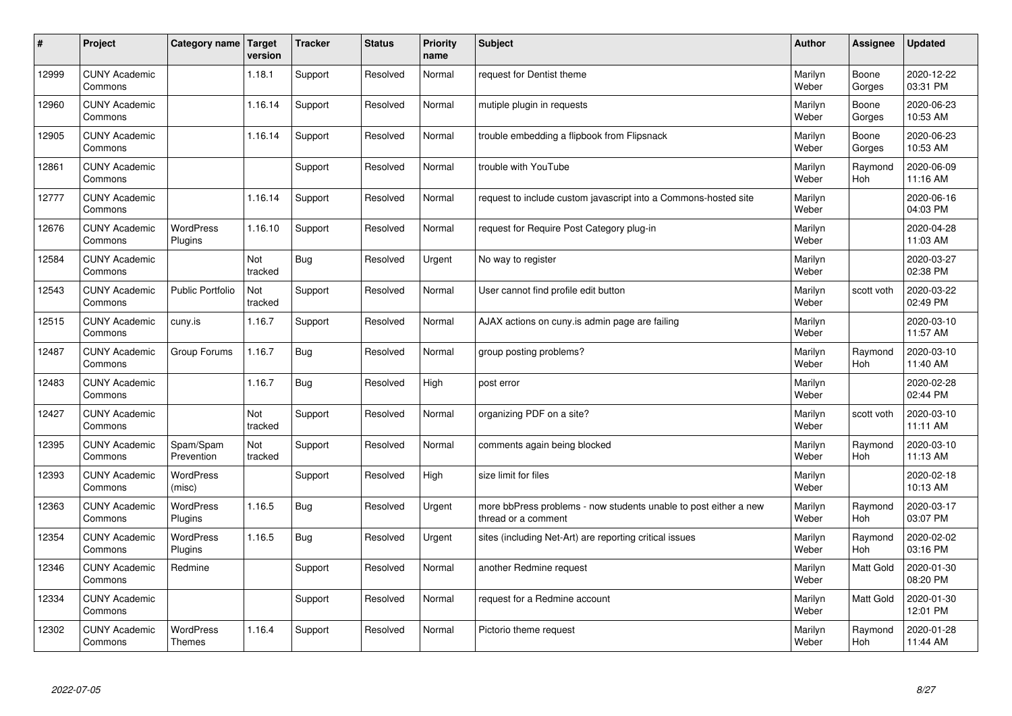| #     | Project                         | Category name   Target      | version        | <b>Tracker</b> | <b>Status</b> | <b>Priority</b><br>name | <b>Subject</b>                                                                          | <b>Author</b>    | Assignee              | <b>Updated</b>         |
|-------|---------------------------------|-----------------------------|----------------|----------------|---------------|-------------------------|-----------------------------------------------------------------------------------------|------------------|-----------------------|------------------------|
| 12999 | <b>CUNY Academic</b><br>Commons |                             | 1.18.1         | Support        | Resolved      | Normal                  | request for Dentist theme                                                               | Marilyn<br>Weber | Boone<br>Gorges       | 2020-12-22<br>03:31 PM |
| 12960 | <b>CUNY Academic</b><br>Commons |                             | 1.16.14        | Support        | Resolved      | Normal                  | mutiple plugin in requests                                                              | Marilyn<br>Weber | Boone<br>Gorges       | 2020-06-23<br>10:53 AM |
| 12905 | <b>CUNY Academic</b><br>Commons |                             | 1.16.14        | Support        | Resolved      | Normal                  | trouble embedding a flipbook from Flipsnack                                             | Marilyn<br>Weber | Boone<br>Gorges       | 2020-06-23<br>10:53 AM |
| 12861 | <b>CUNY Academic</b><br>Commons |                             |                | Support        | Resolved      | Normal                  | trouble with YouTube                                                                    | Marilyn<br>Weber | Raymond<br>Hoh        | 2020-06-09<br>11:16 AM |
| 12777 | <b>CUNY Academic</b><br>Commons |                             | 1.16.14        | Support        | Resolved      | Normal                  | request to include custom javascript into a Commons-hosted site                         | Marilyn<br>Weber |                       | 2020-06-16<br>04:03 PM |
| 12676 | <b>CUNY Academic</b><br>Commons | <b>WordPress</b><br>Plugins | 1.16.10        | Support        | Resolved      | Normal                  | request for Require Post Category plug-in                                               | Marilyn<br>Weber |                       | 2020-04-28<br>11:03 AM |
| 12584 | <b>CUNY Academic</b><br>Commons |                             | Not<br>tracked | Bug            | Resolved      | Urgent                  | No way to register                                                                      | Marilyn<br>Weber |                       | 2020-03-27<br>02:38 PM |
| 12543 | <b>CUNY Academic</b><br>Commons | <b>Public Portfolio</b>     | Not<br>tracked | Support        | Resolved      | Normal                  | User cannot find profile edit button                                                    | Marilyn<br>Weber | scott voth            | 2020-03-22<br>02:49 PM |
| 12515 | <b>CUNY Academic</b><br>Commons | cuny.is                     | 1.16.7         | Support        | Resolved      | Normal                  | AJAX actions on cuny is admin page are failing                                          | Marilyn<br>Weber |                       | 2020-03-10<br>11:57 AM |
| 12487 | <b>CUNY Academic</b><br>Commons | Group Forums                | 1.16.7         | Bug            | Resolved      | Normal                  | group posting problems?                                                                 | Marilyn<br>Weber | Raymond<br><b>Hoh</b> | 2020-03-10<br>11:40 AM |
| 12483 | <b>CUNY Academic</b><br>Commons |                             | 1.16.7         | <b>Bug</b>     | Resolved      | High                    | post error                                                                              | Marilyn<br>Weber |                       | 2020-02-28<br>02:44 PM |
| 12427 | <b>CUNY Academic</b><br>Commons |                             | Not<br>tracked | Support        | Resolved      | Normal                  | organizing PDF on a site?                                                               | Marilyn<br>Weber | scott voth            | 2020-03-10<br>11:11 AM |
| 12395 | <b>CUNY Academic</b><br>Commons | Spam/Spam<br>Prevention     | Not<br>tracked | Support        | Resolved      | Normal                  | comments again being blocked                                                            | Marilyn<br>Weber | Raymond<br>Hoh        | 2020-03-10<br>11:13 AM |
| 12393 | <b>CUNY Academic</b><br>Commons | WordPress<br>(misc)         |                | Support        | Resolved      | High                    | size limit for files                                                                    | Marilyn<br>Weber |                       | 2020-02-18<br>10:13 AM |
| 12363 | <b>CUNY Academic</b><br>Commons | WordPress<br>Plugins        | 1.16.5         | Bug            | Resolved      | Urgent                  | more bbPress problems - now students unable to post either a new<br>thread or a comment | Marilyn<br>Weber | Raymond<br><b>Hoh</b> | 2020-03-17<br>03:07 PM |
| 12354 | <b>CUNY Academic</b><br>Commons | <b>WordPress</b><br>Plugins | 1.16.5         | Bug            | Resolved      | Urgent                  | sites (including Net-Art) are reporting critical issues                                 | Marilyn<br>Weber | Raymond<br><b>Hoh</b> | 2020-02-02<br>03:16 PM |
| 12346 | <b>CUNY Academic</b><br>Commons | Redmine                     |                | Support        | Resolved      | Normal                  | another Redmine request                                                                 | Marilyn<br>Weber | <b>Matt Gold</b>      | 2020-01-30<br>08:20 PM |
| 12334 | <b>CUNY Academic</b><br>Commons |                             |                | Support        | Resolved      | Normal                  | request for a Redmine account                                                           | Marilyn<br>Weber | Matt Gold             | 2020-01-30<br>12:01 PM |
| 12302 | <b>CUNY Academic</b><br>Commons | WordPress<br><b>Themes</b>  | 1.16.4         | Support        | Resolved      | Normal                  | Pictorio theme request                                                                  | Marilyn<br>Weber | Raymond<br>Hoh        | 2020-01-28<br>11:44 AM |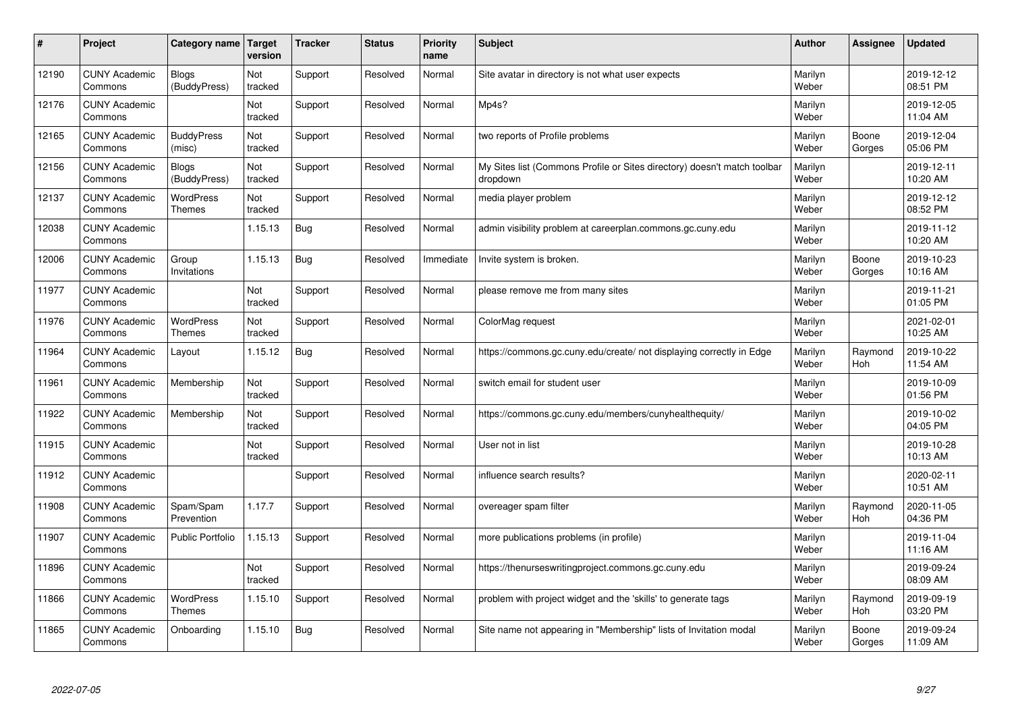| #     | Project                         | Category name   Target            | version        | <b>Tracker</b> | <b>Status</b> | <b>Priority</b><br>name | <b>Subject</b>                                                                       | <b>Author</b>    | Assignee        | <b>Updated</b>         |
|-------|---------------------------------|-----------------------------------|----------------|----------------|---------------|-------------------------|--------------------------------------------------------------------------------------|------------------|-----------------|------------------------|
| 12190 | <b>CUNY Academic</b><br>Commons | <b>Blogs</b><br>(BuddyPress)      | Not<br>tracked | Support        | Resolved      | Normal                  | Site avatar in directory is not what user expects                                    | Marilyn<br>Weber |                 | 2019-12-12<br>08:51 PM |
| 12176 | <b>CUNY Academic</b><br>Commons |                                   | Not<br>tracked | Support        | Resolved      | Normal                  | Mp4s?                                                                                | Marilyn<br>Weber |                 | 2019-12-05<br>11:04 AM |
| 12165 | <b>CUNY Academic</b><br>Commons | <b>BuddyPress</b><br>(misc)       | Not<br>tracked | Support        | Resolved      | Normal                  | two reports of Profile problems                                                      | Marilyn<br>Weber | Boone<br>Gorges | 2019-12-04<br>05:06 PM |
| 12156 | <b>CUNY Academic</b><br>Commons | Blogs<br>(BuddyPress)             | Not<br>tracked | Support        | Resolved      | Normal                  | My Sites list (Commons Profile or Sites directory) doesn't match toolbar<br>dropdown | Marilyn<br>Weber |                 | 2019-12-11<br>10:20 AM |
| 12137 | <b>CUNY Academic</b><br>Commons | <b>WordPress</b><br><b>Themes</b> | Not<br>tracked | Support        | Resolved      | Normal                  | media player problem                                                                 | Marilyn<br>Weber |                 | 2019-12-12<br>08:52 PM |
| 12038 | <b>CUNY Academic</b><br>Commons |                                   | 1.15.13        | Bug            | Resolved      | Normal                  | admin visibility problem at careerplan.commons.gc.cuny.edu                           | Marilyn<br>Weber |                 | 2019-11-12<br>10:20 AM |
| 12006 | <b>CUNY Academic</b><br>Commons | Group<br>Invitations              | 1.15.13        | <b>Bug</b>     | Resolved      | Immediate               | Invite system is broken.                                                             | Marilyn<br>Weber | Boone<br>Gorges | 2019-10-23<br>10:16 AM |
| 11977 | <b>CUNY Academic</b><br>Commons |                                   | Not<br>tracked | Support        | Resolved      | Normal                  | please remove me from many sites                                                     | Marilyn<br>Weber |                 | 2019-11-21<br>01:05 PM |
| 11976 | <b>CUNY Academic</b><br>Commons | <b>WordPress</b><br><b>Themes</b> | Not<br>tracked | Support        | Resolved      | Normal                  | ColorMag request                                                                     | Marilyn<br>Weber |                 | 2021-02-01<br>10:25 AM |
| 11964 | <b>CUNY Academic</b><br>Commons | Layout                            | 1.15.12        | Bug            | Resolved      | Normal                  | https://commons.gc.cuny.edu/create/ not displaying correctly in Edge                 | Marilyn<br>Weber | Raymond<br>Hoh  | 2019-10-22<br>11:54 AM |
| 11961 | <b>CUNY Academic</b><br>Commons | Membership                        | Not<br>tracked | Support        | Resolved      | Normal                  | switch email for student user                                                        | Marilyn<br>Weber |                 | 2019-10-09<br>01:56 PM |
| 11922 | <b>CUNY Academic</b><br>Commons | Membership                        | Not<br>tracked | Support        | Resolved      | Normal                  | https://commons.gc.cuny.edu/members/cunyhealthequity/                                | Marilyn<br>Weber |                 | 2019-10-02<br>04:05 PM |
| 11915 | <b>CUNY Academic</b><br>Commons |                                   | Not<br>tracked | Support        | Resolved      | Normal                  | User not in list                                                                     | Marilyn<br>Weber |                 | 2019-10-28<br>10:13 AM |
| 11912 | <b>CUNY Academic</b><br>Commons |                                   |                | Support        | Resolved      | Normal                  | influence search results?                                                            | Marilyn<br>Weber |                 | 2020-02-11<br>10:51 AM |
| 11908 | <b>CUNY Academic</b><br>Commons | Spam/Spam<br>Prevention           | 1.17.7         | Support        | Resolved      | Normal                  | overeager spam filter                                                                | Marilyn<br>Weber | Raymond<br>Hoh  | 2020-11-05<br>04:36 PM |
| 11907 | <b>CUNY Academic</b><br>Commons | <b>Public Portfolio</b>           | 1.15.13        | Support        | Resolved      | Normal                  | more publications problems (in profile)                                              | Marilyn<br>Weber |                 | 2019-11-04<br>11:16 AM |
| 11896 | <b>CUNY Academic</b><br>Commons |                                   | Not<br>tracked | Support        | Resolved      | Normal                  | https://thenurseswritingproject.commons.gc.cuny.edu                                  | Marilyn<br>Weber |                 | 2019-09-24<br>08:09 AM |
| 11866 | <b>CUNY Academic</b><br>Commons | <b>WordPress</b><br><b>Themes</b> | 1.15.10        | Support        | Resolved      | Normal                  | problem with project widget and the 'skills' to generate tags                        | Marilyn<br>Weber | Raymond<br>Hoh  | 2019-09-19<br>03:20 PM |
| 11865 | <b>CUNY Academic</b><br>Commons | Onboarding                        | 1.15.10        | Bug            | Resolved      | Normal                  | Site name not appearing in "Membership" lists of Invitation modal                    | Marilyn<br>Weber | Boone<br>Gorges | 2019-09-24<br>11:09 AM |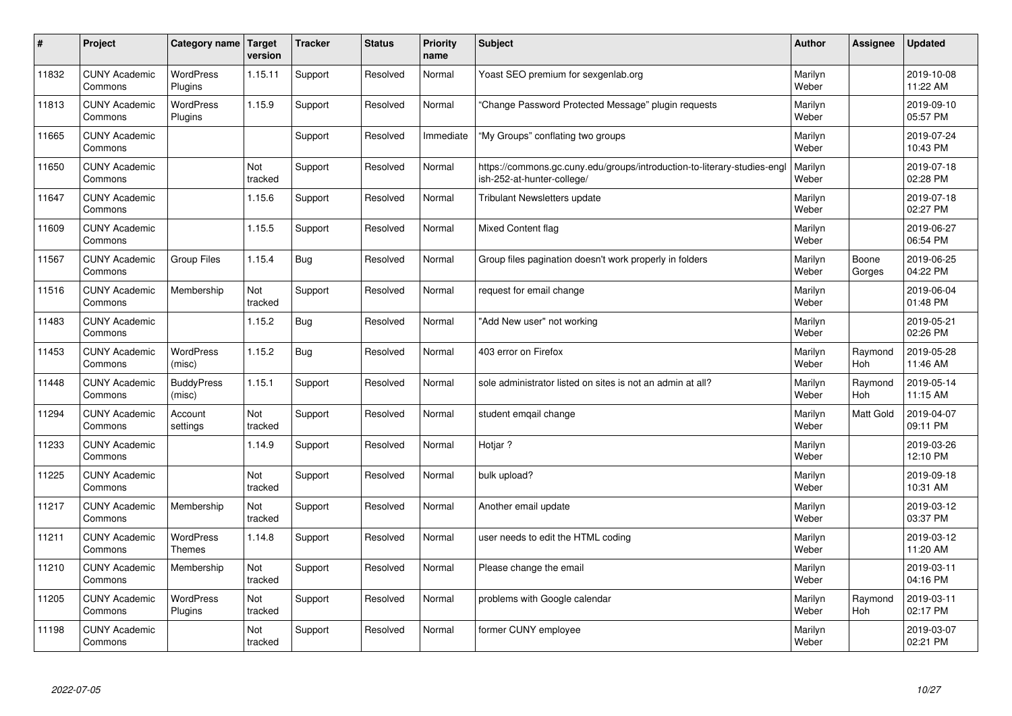| $\pmb{\#}$ | Project                         | Category name                     | Target<br>version | <b>Tracker</b> | <b>Status</b> | <b>Priority</b><br>name | <b>Subject</b>                                                                                         | <b>Author</b>    | Assignee        | <b>Updated</b>         |
|------------|---------------------------------|-----------------------------------|-------------------|----------------|---------------|-------------------------|--------------------------------------------------------------------------------------------------------|------------------|-----------------|------------------------|
| 11832      | <b>CUNY Academic</b><br>Commons | <b>WordPress</b><br>Plugins       | 1.15.11           | Support        | Resolved      | Normal                  | Yoast SEO premium for sexgenlab.org                                                                    | Marilyn<br>Weber |                 | 2019-10-08<br>11:22 AM |
| 11813      | <b>CUNY Academic</b><br>Commons | <b>WordPress</b><br>Plugins       | 1.15.9            | Support        | Resolved      | Normal                  | 'Change Password Protected Message" plugin requests                                                    | Marilyn<br>Weber |                 | 2019-09-10<br>05:57 PM |
| 11665      | <b>CUNY Academic</b><br>Commons |                                   |                   | Support        | Resolved      | Immediate               | "My Groups" conflating two groups                                                                      | Marilyn<br>Weber |                 | 2019-07-24<br>10:43 PM |
| 11650      | <b>CUNY Academic</b><br>Commons |                                   | Not<br>tracked    | Support        | Resolved      | Normal                  | https://commons.gc.cuny.edu/groups/introduction-to-literary-studies-engl<br>ish-252-at-hunter-college/ | Marilyn<br>Weber |                 | 2019-07-18<br>02:28 PM |
| 11647      | <b>CUNY Academic</b><br>Commons |                                   | 1.15.6            | Support        | Resolved      | Normal                  | <b>Tribulant Newsletters update</b>                                                                    | Marilyn<br>Weber |                 | 2019-07-18<br>02:27 PM |
| 11609      | <b>CUNY Academic</b><br>Commons |                                   | 1.15.5            | Support        | Resolved      | Normal                  | <b>Mixed Content flag</b>                                                                              | Marilyn<br>Weber |                 | 2019-06-27<br>06:54 PM |
| 11567      | <b>CUNY Academic</b><br>Commons | Group Files                       | 1.15.4            | <b>Bug</b>     | Resolved      | Normal                  | Group files pagination doesn't work properly in folders                                                | Marilyn<br>Weber | Boone<br>Gorges | 2019-06-25<br>04:22 PM |
| 11516      | <b>CUNY Academic</b><br>Commons | Membership                        | Not<br>tracked    | Support        | Resolved      | Normal                  | request for email change                                                                               | Marilyn<br>Weber |                 | 2019-06-04<br>01:48 PM |
| 11483      | <b>CUNY Academic</b><br>Commons |                                   | 1.15.2            | Bug            | Resolved      | Normal                  | "Add New user" not working                                                                             | Marilyn<br>Weber |                 | 2019-05-21<br>02:26 PM |
| 11453      | <b>CUNY Academic</b><br>Commons | <b>WordPress</b><br>(misc)        | 1.15.2            | <b>Bug</b>     | Resolved      | Normal                  | 403 error on Firefox                                                                                   | Marilyn<br>Weber | Raymond<br>Hoh  | 2019-05-28<br>11:46 AM |
| 11448      | <b>CUNY Academic</b><br>Commons | <b>BuddyPress</b><br>(misc)       | 1.15.1            | Support        | Resolved      | Normal                  | sole administrator listed on sites is not an admin at all?                                             | Marilyn<br>Weber | Raymond<br>Hoh  | 2019-05-14<br>11:15 AM |
| 11294      | <b>CUNY Academic</b><br>Commons | Account<br>settings               | Not<br>tracked    | Support        | Resolved      | Normal                  | student emgail change                                                                                  | Marilyn<br>Weber | Matt Gold       | 2019-04-07<br>09:11 PM |
| 11233      | <b>CUNY Academic</b><br>Commons |                                   | 1.14.9            | Support        | Resolved      | Normal                  | Hotjar?                                                                                                | Marilyn<br>Weber |                 | 2019-03-26<br>12:10 PM |
| 11225      | <b>CUNY Academic</b><br>Commons |                                   | Not<br>tracked    | Support        | Resolved      | Normal                  | bulk upload?                                                                                           | Marilyn<br>Weber |                 | 2019-09-18<br>10:31 AM |
| 11217      | <b>CUNY Academic</b><br>Commons | Membership                        | Not<br>tracked    | Support        | Resolved      | Normal                  | Another email update                                                                                   | Marilyn<br>Weber |                 | 2019-03-12<br>03:37 PM |
| 11211      | <b>CUNY Academic</b><br>Commons | <b>WordPress</b><br><b>Themes</b> | 1.14.8            | Support        | Resolved      | Normal                  | user needs to edit the HTML coding                                                                     | Marilyn<br>Weber |                 | 2019-03-12<br>11:20 AM |
| 11210      | <b>CUNY Academic</b><br>Commons | Membership                        | Not<br>tracked    | Support        | Resolved      | Normal                  | Please change the email                                                                                | Marilyn<br>Weber |                 | 2019-03-11<br>04:16 PM |
| 11205      | <b>CUNY Academic</b><br>Commons | WordPress<br>Plugins              | Not<br>tracked    | Support        | Resolved      | Normal                  | problems with Google calendar                                                                          | Marilyn<br>Weber | Raymond<br>Hoh  | 2019-03-11<br>02:17 PM |
| 11198      | <b>CUNY Academic</b><br>Commons |                                   | Not<br>tracked    | Support        | Resolved      | Normal                  | former CUNY employee                                                                                   | Marilyn<br>Weber |                 | 2019-03-07<br>02:21 PM |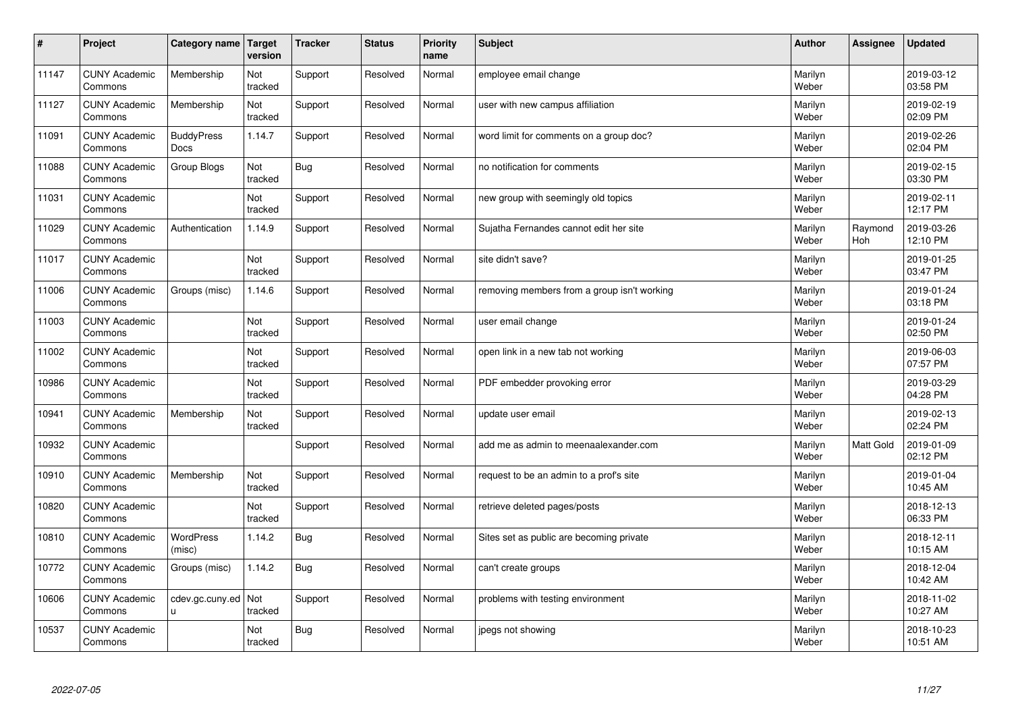| $\sharp$ | Project                         | Category name              | Target<br>version | <b>Tracker</b> | <b>Status</b> | <b>Priority</b><br>name | <b>Subject</b>                              | <b>Author</b>    | Assignee       | <b>Updated</b>         |
|----------|---------------------------------|----------------------------|-------------------|----------------|---------------|-------------------------|---------------------------------------------|------------------|----------------|------------------------|
| 11147    | <b>CUNY Academic</b><br>Commons | Membership                 | Not<br>tracked    | Support        | Resolved      | Normal                  | employee email change                       | Marilyn<br>Weber |                | 2019-03-12<br>03:58 PM |
| 11127    | <b>CUNY Academic</b><br>Commons | Membership                 | Not<br>tracked    | Support        | Resolved      | Normal                  | user with new campus affiliation            | Marilyn<br>Weber |                | 2019-02-19<br>02:09 PM |
| 11091    | <b>CUNY Academic</b><br>Commons | <b>BuddyPress</b><br>Docs  | 1.14.7            | Support        | Resolved      | Normal                  | word limit for comments on a group doc?     | Marilyn<br>Weber |                | 2019-02-26<br>02:04 PM |
| 11088    | <b>CUNY Academic</b><br>Commons | Group Blogs                | Not<br>tracked    | <b>Bug</b>     | Resolved      | Normal                  | no notification for comments                | Marilyn<br>Weber |                | 2019-02-15<br>03:30 PM |
| 11031    | <b>CUNY Academic</b><br>Commons |                            | Not<br>tracked    | Support        | Resolved      | Normal                  | new group with seemingly old topics         | Marilyn<br>Weber |                | 2019-02-11<br>12:17 PM |
| 11029    | <b>CUNY Academic</b><br>Commons | Authentication             | 1.14.9            | Support        | Resolved      | Normal                  | Sujatha Fernandes cannot edit her site      | Marilyn<br>Weber | Raymond<br>Hoh | 2019-03-26<br>12:10 PM |
| 11017    | <b>CUNY Academic</b><br>Commons |                            | Not<br>tracked    | Support        | Resolved      | Normal                  | site didn't save?                           | Marilyn<br>Weber |                | 2019-01-25<br>03:47 PM |
| 11006    | <b>CUNY Academic</b><br>Commons | Groups (misc)              | 1.14.6            | Support        | Resolved      | Normal                  | removing members from a group isn't working | Marilyn<br>Weber |                | 2019-01-24<br>03:18 PM |
| 11003    | <b>CUNY Academic</b><br>Commons |                            | Not<br>tracked    | Support        | Resolved      | Normal                  | user email change                           | Marilyn<br>Weber |                | 2019-01-24<br>02:50 PM |
| 11002    | <b>CUNY Academic</b><br>Commons |                            | Not<br>tracked    | Support        | Resolved      | Normal                  | open link in a new tab not working          | Marilyn<br>Weber |                | 2019-06-03<br>07:57 PM |
| 10986    | <b>CUNY Academic</b><br>Commons |                            | Not<br>tracked    | Support        | Resolved      | Normal                  | PDF embedder provoking error                | Marilyn<br>Weber |                | 2019-03-29<br>04:28 PM |
| 10941    | <b>CUNY Academic</b><br>Commons | Membership                 | Not<br>tracked    | Support        | Resolved      | Normal                  | update user email                           | Marilyn<br>Weber |                | 2019-02-13<br>02:24 PM |
| 10932    | <b>CUNY Academic</b><br>Commons |                            |                   | Support        | Resolved      | Normal                  | add me as admin to meenaalexander.com       | Marilyn<br>Weber | Matt Gold      | 2019-01-09<br>02:12 PM |
| 10910    | <b>CUNY Academic</b><br>Commons | Membership                 | Not<br>tracked    | Support        | Resolved      | Normal                  | request to be an admin to a prof's site     | Marilyn<br>Weber |                | 2019-01-04<br>10:45 AM |
| 10820    | <b>CUNY Academic</b><br>Commons |                            | Not<br>tracked    | Support        | Resolved      | Normal                  | retrieve deleted pages/posts                | Marilyn<br>Weber |                | 2018-12-13<br>06:33 PM |
| 10810    | <b>CUNY Academic</b><br>Commons | <b>WordPress</b><br>(misc) | 1.14.2            | <b>Bug</b>     | Resolved      | Normal                  | Sites set as public are becoming private    | Marilyn<br>Weber |                | 2018-12-11<br>10:15 AM |
| 10772    | <b>CUNY Academic</b><br>Commons | Groups (misc)              | 1.14.2            | <b>Bug</b>     | Resolved      | Normal                  | can't create groups                         | Marilyn<br>Weber |                | 2018-12-04<br>10:42 AM |
| 10606    | <b>CUNY Academic</b><br>Commons | cdev.gc.cuny.ed<br>u.      | Not<br>tracked    | Support        | Resolved      | Normal                  | problems with testing environment           | Marilyn<br>Weber |                | 2018-11-02<br>10:27 AM |
| 10537    | <b>CUNY Academic</b><br>Commons |                            | Not<br>tracked    | Bug            | Resolved      | Normal                  | jpegs not showing                           | Marilyn<br>Weber |                | 2018-10-23<br>10:51 AM |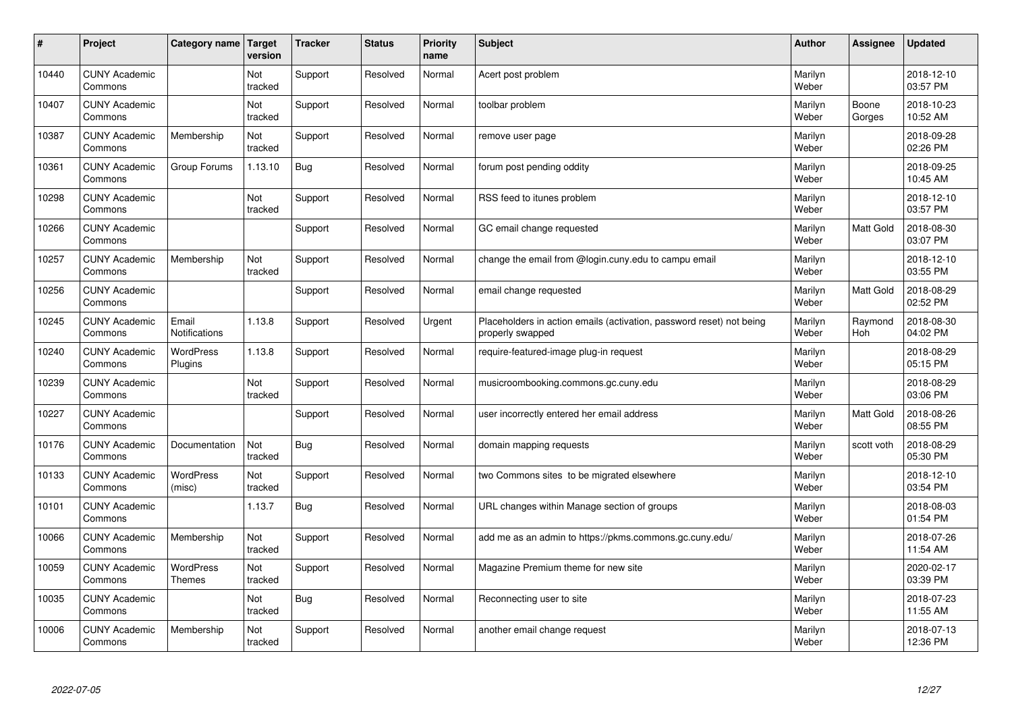| #     | Project                         | Category name                 | Target<br>version | <b>Tracker</b> | <b>Status</b> | <b>Priority</b><br>name | <b>Subject</b>                                                                           | <b>Author</b>    | Assignee              | <b>Updated</b>         |
|-------|---------------------------------|-------------------------------|-------------------|----------------|---------------|-------------------------|------------------------------------------------------------------------------------------|------------------|-----------------------|------------------------|
| 10440 | <b>CUNY Academic</b><br>Commons |                               | Not<br>tracked    | Support        | Resolved      | Normal                  | Acert post problem                                                                       | Marilyn<br>Weber |                       | 2018-12-10<br>03:57 PM |
| 10407 | <b>CUNY Academic</b><br>Commons |                               | Not<br>tracked    | Support        | Resolved      | Normal                  | toolbar problem                                                                          | Marilyn<br>Weber | Boone<br>Gorges       | 2018-10-23<br>10:52 AM |
| 10387 | <b>CUNY Academic</b><br>Commons | Membership                    | Not<br>tracked    | Support        | Resolved      | Normal                  | remove user page                                                                         | Marilyn<br>Weber |                       | 2018-09-28<br>02:26 PM |
| 10361 | <b>CUNY Academic</b><br>Commons | Group Forums                  | 1.13.10           | <b>Bug</b>     | Resolved      | Normal                  | forum post pending oddity                                                                | Marilyn<br>Weber |                       | 2018-09-25<br>10:45 AM |
| 10298 | <b>CUNY Academic</b><br>Commons |                               | Not<br>tracked    | Support        | Resolved      | Normal                  | RSS feed to itunes problem                                                               | Marilyn<br>Weber |                       | 2018-12-10<br>03:57 PM |
| 10266 | <b>CUNY Academic</b><br>Commons |                               |                   | Support        | Resolved      | Normal                  | GC email change requested                                                                | Marilyn<br>Weber | <b>Matt Gold</b>      | 2018-08-30<br>03:07 PM |
| 10257 | <b>CUNY Academic</b><br>Commons | Membership                    | Not<br>tracked    | Support        | Resolved      | Normal                  | change the email from @login.cuny.edu to campu email                                     | Marilyn<br>Weber |                       | 2018-12-10<br>03:55 PM |
| 10256 | <b>CUNY Academic</b><br>Commons |                               |                   | Support        | Resolved      | Normal                  | email change requested                                                                   | Marilyn<br>Weber | Matt Gold             | 2018-08-29<br>02:52 PM |
| 10245 | <b>CUNY Academic</b><br>Commons | Email<br><b>Notifications</b> | 1.13.8            | Support        | Resolved      | Urgent                  | Placeholders in action emails (activation, password reset) not being<br>properly swapped | Marilyn<br>Weber | Raymond<br><b>Hoh</b> | 2018-08-30<br>04:02 PM |
| 10240 | <b>CUNY Academic</b><br>Commons | WordPress<br>Plugins          | 1.13.8            | Support        | Resolved      | Normal                  | require-featured-image plug-in request                                                   | Marilyn<br>Weber |                       | 2018-08-29<br>05:15 PM |
| 10239 | <b>CUNY Academic</b><br>Commons |                               | Not<br>tracked    | Support        | Resolved      | Normal                  | musicroombooking.commons.gc.cuny.edu                                                     | Marilyn<br>Weber |                       | 2018-08-29<br>03:06 PM |
| 10227 | <b>CUNY Academic</b><br>Commons |                               |                   | Support        | Resolved      | Normal                  | user incorrectly entered her email address                                               | Marilyn<br>Weber | <b>Matt Gold</b>      | 2018-08-26<br>08:55 PM |
| 10176 | <b>CUNY Academic</b><br>Commons | Documentation                 | Not<br>tracked    | <b>Bug</b>     | Resolved      | Normal                  | domain mapping requests                                                                  | Marilyn<br>Weber | scott voth            | 2018-08-29<br>05:30 PM |
| 10133 | <b>CUNY Academic</b><br>Commons | <b>WordPress</b><br>(misc)    | Not<br>tracked    | Support        | Resolved      | Normal                  | two Commons sites to be migrated elsewhere                                               | Marilyn<br>Weber |                       | 2018-12-10<br>03:54 PM |
| 10101 | <b>CUNY Academic</b><br>Commons |                               | 1.13.7            | <b>Bug</b>     | Resolved      | Normal                  | URL changes within Manage section of groups                                              | Marilyn<br>Weber |                       | 2018-08-03<br>01:54 PM |
| 10066 | <b>CUNY Academic</b><br>Commons | Membership                    | Not<br>tracked    | Support        | Resolved      | Normal                  | add me as an admin to https://pkms.commons.gc.cuny.edu/                                  | Marilyn<br>Weber |                       | 2018-07-26<br>11:54 AM |
| 10059 | <b>CUNY Academic</b><br>Commons | WordPress<br>Themes           | Not<br>tracked    | Support        | Resolved      | Normal                  | Magazine Premium theme for new site                                                      | Marilyn<br>Weber |                       | 2020-02-17<br>03:39 PM |
| 10035 | <b>CUNY Academic</b><br>Commons |                               | Not<br>tracked    | <b>Bug</b>     | Resolved      | Normal                  | Reconnecting user to site                                                                | Marilyn<br>Weber |                       | 2018-07-23<br>11:55 AM |
| 10006 | <b>CUNY Academic</b><br>Commons | Membership                    | Not<br>tracked    | Support        | Resolved      | Normal                  | another email change request                                                             | Marilyn<br>Weber |                       | 2018-07-13<br>12:36 PM |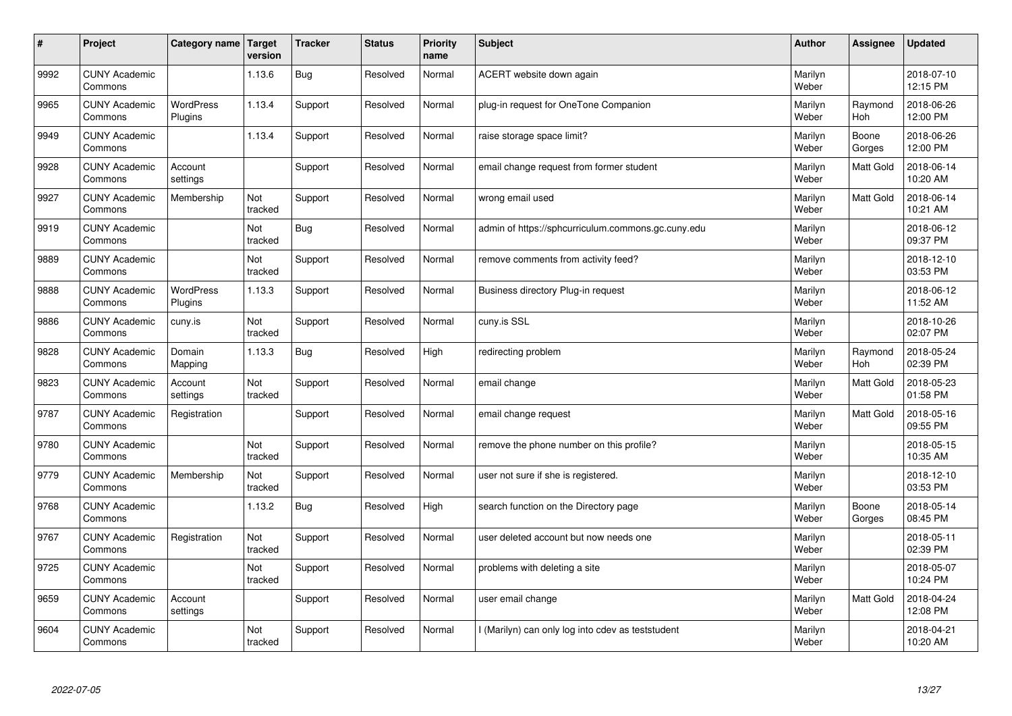| #    | Project                         | Category name               | Target<br>version | <b>Tracker</b> | <b>Status</b> | <b>Priority</b><br>name | <b>Subject</b>                                     | <b>Author</b>    | Assignee         | <b>Updated</b>         |
|------|---------------------------------|-----------------------------|-------------------|----------------|---------------|-------------------------|----------------------------------------------------|------------------|------------------|------------------------|
| 9992 | <b>CUNY Academic</b><br>Commons |                             | 1.13.6            | Bug            | Resolved      | Normal                  | ACERT website down again                           | Marilyn<br>Weber |                  | 2018-07-10<br>12:15 PM |
| 9965 | <b>CUNY Academic</b><br>Commons | <b>WordPress</b><br>Plugins | 1.13.4            | Support        | Resolved      | Normal                  | plug-in request for OneTone Companion              | Marilyn<br>Weber | Raymond<br>Hoh   | 2018-06-26<br>12:00 PM |
| 9949 | <b>CUNY Academic</b><br>Commons |                             | 1.13.4            | Support        | Resolved      | Normal                  | raise storage space limit?                         | Marilyn<br>Weber | Boone<br>Gorges  | 2018-06-26<br>12:00 PM |
| 9928 | <b>CUNY Academic</b><br>Commons | Account<br>settings         |                   | Support        | Resolved      | Normal                  | email change request from former student           | Marilyn<br>Weber | Matt Gold        | 2018-06-14<br>10:20 AM |
| 9927 | <b>CUNY Academic</b><br>Commons | Membership                  | Not<br>tracked    | Support        | Resolved      | Normal                  | wrong email used                                   | Marilyn<br>Weber | Matt Gold        | 2018-06-14<br>10:21 AM |
| 9919 | <b>CUNY Academic</b><br>Commons |                             | Not<br>tracked    | Bug            | Resolved      | Normal                  | admin of https://sphcurriculum.commons.gc.cuny.edu | Marilyn<br>Weber |                  | 2018-06-12<br>09:37 PM |
| 9889 | <b>CUNY Academic</b><br>Commons |                             | Not<br>tracked    | Support        | Resolved      | Normal                  | remove comments from activity feed?                | Marilyn<br>Weber |                  | 2018-12-10<br>03:53 PM |
| 9888 | <b>CUNY Academic</b><br>Commons | <b>WordPress</b><br>Plugins | 1.13.3            | Support        | Resolved      | Normal                  | Business directory Plug-in request                 | Marilyn<br>Weber |                  | 2018-06-12<br>11:52 AM |
| 9886 | <b>CUNY Academic</b><br>Commons | cuny.is                     | Not<br>tracked    | Support        | Resolved      | Normal                  | cuny.is SSL                                        | Marilyn<br>Weber |                  | 2018-10-26<br>02:07 PM |
| 9828 | <b>CUNY Academic</b><br>Commons | Domain<br>Mapping           | 1.13.3            | Bug            | Resolved      | High                    | redirecting problem                                | Marilyn<br>Weber | Raymond<br>Hoh   | 2018-05-24<br>02:39 PM |
| 9823 | <b>CUNY Academic</b><br>Commons | Account<br>settings         | Not<br>tracked    | Support        | Resolved      | Normal                  | email change                                       | Marilyn<br>Weber | Matt Gold        | 2018-05-23<br>01:58 PM |
| 9787 | <b>CUNY Academic</b><br>Commons | Registration                |                   | Support        | Resolved      | Normal                  | email change request                               | Marilyn<br>Weber | <b>Matt Gold</b> | 2018-05-16<br>09:55 PM |
| 9780 | <b>CUNY Academic</b><br>Commons |                             | Not<br>tracked    | Support        | Resolved      | Normal                  | remove the phone number on this profile?           | Marilyn<br>Weber |                  | 2018-05-15<br>10:35 AM |
| 9779 | <b>CUNY Academic</b><br>Commons | Membership                  | Not<br>tracked    | Support        | Resolved      | Normal                  | user not sure if she is registered.                | Marilyn<br>Weber |                  | 2018-12-10<br>03:53 PM |
| 9768 | <b>CUNY Academic</b><br>Commons |                             | 1.13.2            | <b>Bug</b>     | Resolved      | High                    | search function on the Directory page              | Marilyn<br>Weber | Boone<br>Gorges  | 2018-05-14<br>08:45 PM |
| 9767 | <b>CUNY Academic</b><br>Commons | Registration                | Not<br>tracked    | Support        | Resolved      | Normal                  | user deleted account but now needs one             | Marilyn<br>Weber |                  | 2018-05-11<br>02:39 PM |
| 9725 | <b>CUNY Academic</b><br>Commons |                             | Not<br>tracked    | Support        | Resolved      | Normal                  | problems with deleting a site                      | Marilyn<br>Weber |                  | 2018-05-07<br>10:24 PM |
| 9659 | <b>CUNY Academic</b><br>Commons | Account<br>settings         |                   | Support        | Resolved      | Normal                  | user email change                                  | Marilyn<br>Weber | <b>Matt Gold</b> | 2018-04-24<br>12:08 PM |
| 9604 | <b>CUNY Academic</b><br>Commons |                             | Not<br>tracked    | Support        | Resolved      | Normal                  | (Marilyn) can only log into cdev as teststudent    | Marilyn<br>Weber |                  | 2018-04-21<br>10:20 AM |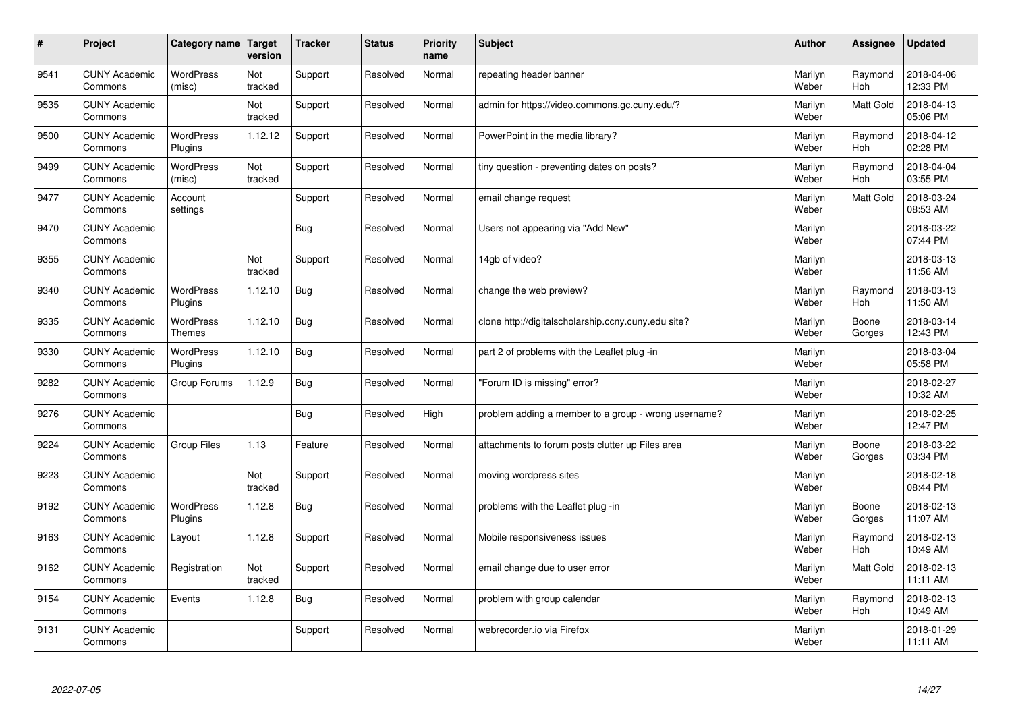| $\vert$ # | Project                         | Category name               | <b>Target</b><br>version | <b>Tracker</b> | <b>Status</b> | <b>Priority</b><br>name | <b>Subject</b>                                       | <b>Author</b>    | Assignee              | <b>Updated</b>         |
|-----------|---------------------------------|-----------------------------|--------------------------|----------------|---------------|-------------------------|------------------------------------------------------|------------------|-----------------------|------------------------|
| 9541      | <b>CUNY Academic</b><br>Commons | <b>WordPress</b><br>(misc)  | Not<br>tracked           | Support        | Resolved      | Normal                  | repeating header banner                              | Marilyn<br>Weber | Raymond<br><b>Hoh</b> | 2018-04-06<br>12:33 PM |
| 9535      | <b>CUNY Academic</b><br>Commons |                             | Not<br>tracked           | Support        | Resolved      | Normal                  | admin for https://video.commons.gc.cuny.edu/?        | Marilyn<br>Weber | <b>Matt Gold</b>      | 2018-04-13<br>05:06 PM |
| 9500      | <b>CUNY Academic</b><br>Commons | <b>WordPress</b><br>Plugins | 1.12.12                  | Support        | Resolved      | Normal                  | PowerPoint in the media library?                     | Marilyn<br>Weber | Raymond<br><b>Hoh</b> | 2018-04-12<br>02:28 PM |
| 9499      | <b>CUNY Academic</b><br>Commons | <b>WordPress</b><br>(misc)  | Not<br>tracked           | Support        | Resolved      | Normal                  | tiny question - preventing dates on posts?           | Marilyn<br>Weber | Raymond<br><b>Hoh</b> | 2018-04-04<br>03:55 PM |
| 9477      | <b>CUNY Academic</b><br>Commons | Account<br>settings         |                          | Support        | Resolved      | Normal                  | email change request                                 | Marilyn<br>Weber | Matt Gold             | 2018-03-24<br>08:53 AM |
| 9470      | <b>CUNY Academic</b><br>Commons |                             |                          | Bug            | Resolved      | Normal                  | Users not appearing via "Add New"                    | Marilyn<br>Weber |                       | 2018-03-22<br>07:44 PM |
| 9355      | <b>CUNY Academic</b><br>Commons |                             | Not<br>tracked           | Support        | Resolved      | Normal                  | 14gb of video?                                       | Marilyn<br>Weber |                       | 2018-03-13<br>11:56 AM |
| 9340      | <b>CUNY Academic</b><br>Commons | WordPress<br>Plugins        | 1.12.10                  | Bug            | Resolved      | Normal                  | change the web preview?                              | Marilyn<br>Weber | Raymond<br>Hoh        | 2018-03-13<br>11:50 AM |
| 9335      | <b>CUNY Academic</b><br>Commons | WordPress<br><b>Themes</b>  | 1.12.10                  | <b>Bug</b>     | Resolved      | Normal                  | clone http://digitalscholarship.ccny.cuny.edu site?  | Marilyn<br>Weber | Boone<br>Gorges       | 2018-03-14<br>12:43 PM |
| 9330      | <b>CUNY Academic</b><br>Commons | <b>WordPress</b><br>Plugins | 1.12.10                  | <b>Bug</b>     | Resolved      | Normal                  | part 2 of problems with the Leaflet plug-in          | Marilyn<br>Weber |                       | 2018-03-04<br>05:58 PM |
| 9282      | <b>CUNY Academic</b><br>Commons | Group Forums                | 1.12.9                   | <b>Bug</b>     | Resolved      | Normal                  | "Forum ID is missing" error?                         | Marilyn<br>Weber |                       | 2018-02-27<br>10:32 AM |
| 9276      | <b>CUNY Academic</b><br>Commons |                             |                          | <b>Bug</b>     | Resolved      | High                    | problem adding a member to a group - wrong username? | Marilyn<br>Weber |                       | 2018-02-25<br>12:47 PM |
| 9224      | <b>CUNY Academic</b><br>Commons | <b>Group Files</b>          | 1.13                     | Feature        | Resolved      | Normal                  | attachments to forum posts clutter up Files area     | Marilyn<br>Weber | Boone<br>Gorges       | 2018-03-22<br>03:34 PM |
| 9223      | <b>CUNY Academic</b><br>Commons |                             | Not<br>tracked           | Support        | Resolved      | Normal                  | moving wordpress sites                               | Marilyn<br>Weber |                       | 2018-02-18<br>08:44 PM |
| 9192      | <b>CUNY Academic</b><br>Commons | <b>WordPress</b><br>Plugins | 1.12.8                   | <b>Bug</b>     | Resolved      | Normal                  | problems with the Leaflet plug -in                   | Marilyn<br>Weber | Boone<br>Gorges       | 2018-02-13<br>11:07 AM |
| 9163      | <b>CUNY Academic</b><br>Commons | Layout                      | 1.12.8                   | Support        | Resolved      | Normal                  | Mobile responsiveness issues                         | Marilyn<br>Weber | Raymond<br><b>Hoh</b> | 2018-02-13<br>10:49 AM |
| 9162      | <b>CUNY Academic</b><br>Commons | Registration                | Not<br>tracked           | Support        | Resolved      | Normal                  | email change due to user error                       | Marilyn<br>Weber | Matt Gold             | 2018-02-13<br>11:11 AM |
| 9154      | <b>CUNY Academic</b><br>Commons | Events                      | 1.12.8                   | Bug            | Resolved      | Normal                  | problem with group calendar                          | Marilyn<br>Weber | Raymond<br>Hoh        | 2018-02-13<br>10:49 AM |
| 9131      | <b>CUNY Academic</b><br>Commons |                             |                          | Support        | Resolved      | Normal                  | webrecorder.io via Firefox                           | Marilyn<br>Weber |                       | 2018-01-29<br>11:11 AM |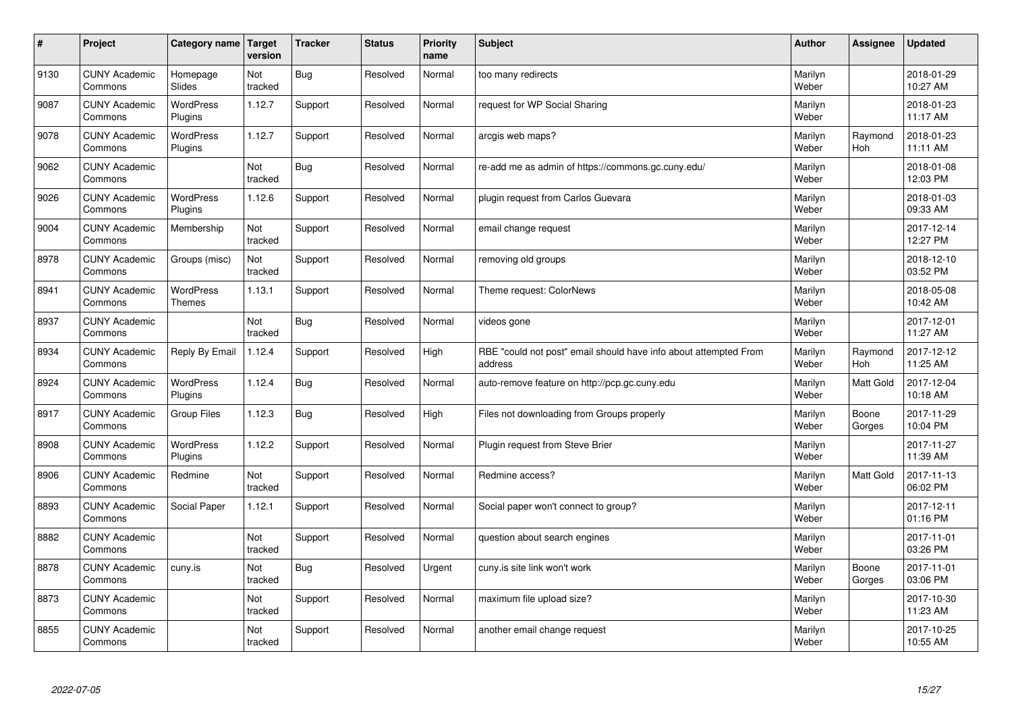| $\sharp$ | Project                         | Category name   Target            | version        | <b>Tracker</b> | <b>Status</b> | <b>Priority</b><br>name | <b>Subject</b>                                                              | <b>Author</b>    | Assignee              | <b>Updated</b>         |
|----------|---------------------------------|-----------------------------------|----------------|----------------|---------------|-------------------------|-----------------------------------------------------------------------------|------------------|-----------------------|------------------------|
| 9130     | <b>CUNY Academic</b><br>Commons | Homepage<br>Slides                | Not<br>tracked | Bug            | Resolved      | Normal                  | too many redirects                                                          | Marilyn<br>Weber |                       | 2018-01-29<br>10:27 AM |
| 9087     | <b>CUNY Academic</b><br>Commons | <b>WordPress</b><br>Plugins       | 1.12.7         | Support        | Resolved      | Normal                  | request for WP Social Sharing                                               | Marilyn<br>Weber |                       | 2018-01-23<br>11:17 AM |
| 9078     | <b>CUNY Academic</b><br>Commons | <b>WordPress</b><br>Plugins       | 1.12.7         | Support        | Resolved      | Normal                  | arcgis web maps?                                                            | Marilyn<br>Weber | Raymond<br><b>Hoh</b> | 2018-01-23<br>11:11 AM |
| 9062     | <b>CUNY Academic</b><br>Commons |                                   | Not<br>tracked | <b>Bug</b>     | Resolved      | Normal                  | re-add me as admin of https://commons.gc.cuny.edu/                          | Marilyn<br>Weber |                       | 2018-01-08<br>12:03 PM |
| 9026     | <b>CUNY Academic</b><br>Commons | <b>WordPress</b><br>Plugins       | 1.12.6         | Support        | Resolved      | Normal                  | plugin request from Carlos Guevara                                          | Marilyn<br>Weber |                       | 2018-01-03<br>09:33 AM |
| 9004     | <b>CUNY Academic</b><br>Commons | Membership                        | Not<br>tracked | Support        | Resolved      | Normal                  | email change request                                                        | Marilyn<br>Weber |                       | 2017-12-14<br>12:27 PM |
| 8978     | <b>CUNY Academic</b><br>Commons | Groups (misc)                     | Not<br>tracked | Support        | Resolved      | Normal                  | removing old groups                                                         | Marilyn<br>Weber |                       | 2018-12-10<br>03:52 PM |
| 8941     | <b>CUNY Academic</b><br>Commons | <b>WordPress</b><br><b>Themes</b> | 1.13.1         | Support        | Resolved      | Normal                  | Theme request: ColorNews                                                    | Marilyn<br>Weber |                       | 2018-05-08<br>10:42 AM |
| 8937     | <b>CUNY Academic</b><br>Commons |                                   | Not<br>tracked | <b>Bug</b>     | Resolved      | Normal                  | videos gone                                                                 | Marilyn<br>Weber |                       | 2017-12-01<br>11:27 AM |
| 8934     | <b>CUNY Academic</b><br>Commons | Reply By Email                    | 1.12.4         | Support        | Resolved      | High                    | RBE "could not post" email should have info about attempted From<br>address | Marilyn<br>Weber | Raymond<br>Hoh        | 2017-12-12<br>11:25 AM |
| 8924     | <b>CUNY Academic</b><br>Commons | <b>WordPress</b><br>Plugins       | 1.12.4         | <b>Bug</b>     | Resolved      | Normal                  | auto-remove feature on http://pcp.gc.cuny.edu                               | Marilyn<br>Weber | Matt Gold             | 2017-12-04<br>10:18 AM |
| 8917     | <b>CUNY Academic</b><br>Commons | Group Files                       | 1.12.3         | <b>Bug</b>     | Resolved      | High                    | Files not downloading from Groups properly                                  | Marilyn<br>Weber | Boone<br>Gorges       | 2017-11-29<br>10:04 PM |
| 8908     | <b>CUNY Academic</b><br>Commons | WordPress<br>Plugins              | 1.12.2         | Support        | Resolved      | Normal                  | Plugin request from Steve Brier                                             | Marilyn<br>Weber |                       | 2017-11-27<br>11:39 AM |
| 8906     | <b>CUNY Academic</b><br>Commons | Redmine                           | Not<br>tracked | Support        | Resolved      | Normal                  | Redmine access?                                                             | Marilyn<br>Weber | <b>Matt Gold</b>      | 2017-11-13<br>06:02 PM |
| 8893     | <b>CUNY Academic</b><br>Commons | Social Paper                      | 1.12.1         | Support        | Resolved      | Normal                  | Social paper won't connect to group?                                        | Marilyn<br>Weber |                       | 2017-12-11<br>01:16 PM |
| 8882     | <b>CUNY Academic</b><br>Commons |                                   | Not<br>tracked | Support        | Resolved      | Normal                  | question about search engines                                               | Marilyn<br>Weber |                       | 2017-11-01<br>03:26 PM |
| 8878     | <b>CUNY Academic</b><br>Commons | cuny.is                           | Not<br>tracked | Bug            | Resolved      | Urgent                  | cuny.is site link won't work                                                | Marilyn<br>Weber | Boone<br>Gorges       | 2017-11-01<br>03:06 PM |
| 8873     | <b>CUNY Academic</b><br>Commons |                                   | Not<br>tracked | Support        | Resolved      | Normal                  | maximum file upload size?                                                   | Marilyn<br>Weber |                       | 2017-10-30<br>11:23 AM |
| 8855     | <b>CUNY Academic</b><br>Commons |                                   | Not<br>tracked | Support        | Resolved      | Normal                  | another email change request                                                | Marilyn<br>Weber |                       | 2017-10-25<br>10:55 AM |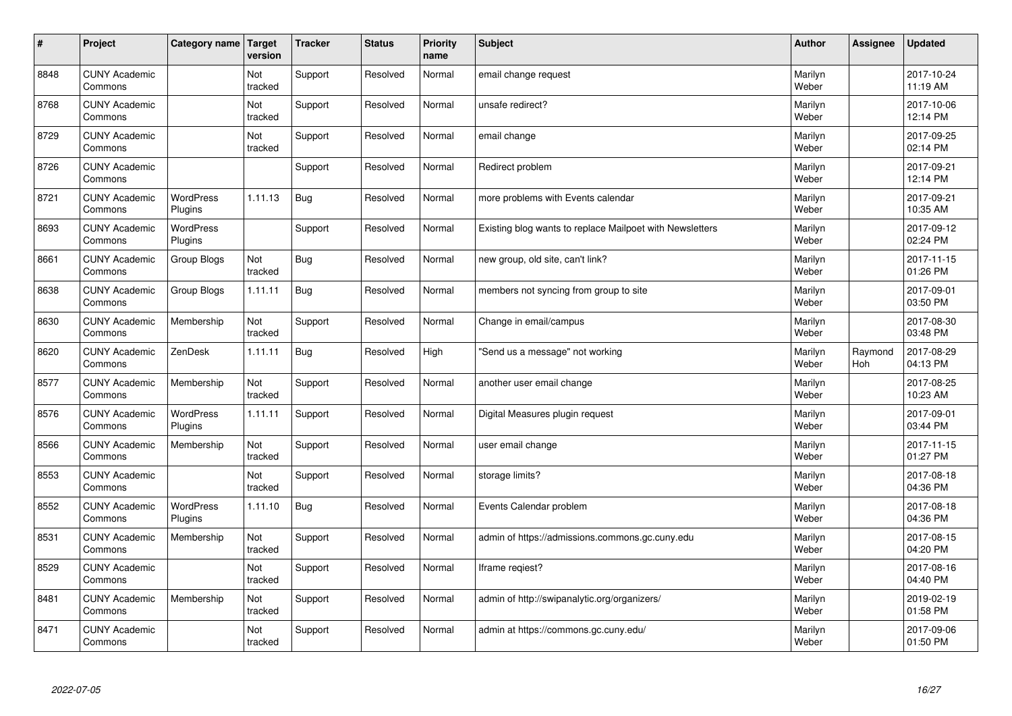| $\vert$ # | Project                         | Category name   Target      | version        | <b>Tracker</b> | <b>Status</b> | <b>Priority</b><br>name | <b>Subject</b>                                           | <b>Author</b>    | Assignee              | <b>Updated</b>         |
|-----------|---------------------------------|-----------------------------|----------------|----------------|---------------|-------------------------|----------------------------------------------------------|------------------|-----------------------|------------------------|
| 8848      | <b>CUNY Academic</b><br>Commons |                             | Not<br>tracked | Support        | Resolved      | Normal                  | email change request                                     | Marilyn<br>Weber |                       | 2017-10-24<br>11:19 AM |
| 8768      | <b>CUNY Academic</b><br>Commons |                             | Not<br>tracked | Support        | Resolved      | Normal                  | unsafe redirect?                                         | Marilyn<br>Weber |                       | 2017-10-06<br>12:14 PM |
| 8729      | <b>CUNY Academic</b><br>Commons |                             | Not<br>tracked | Support        | Resolved      | Normal                  | email change                                             | Marilyn<br>Weber |                       | 2017-09-25<br>02:14 PM |
| 8726      | <b>CUNY Academic</b><br>Commons |                             |                | Support        | Resolved      | Normal                  | Redirect problem                                         | Marilyn<br>Weber |                       | 2017-09-21<br>12:14 PM |
| 8721      | <b>CUNY Academic</b><br>Commons | WordPress<br>Plugins        | 1.11.13        | <b>Bug</b>     | Resolved      | Normal                  | more problems with Events calendar                       | Marilyn<br>Weber |                       | 2017-09-21<br>10:35 AM |
| 8693      | <b>CUNY Academic</b><br>Commons | <b>WordPress</b><br>Plugins |                | Support        | Resolved      | Normal                  | Existing blog wants to replace Mailpoet with Newsletters | Marilyn<br>Weber |                       | 2017-09-12<br>02:24 PM |
| 8661      | <b>CUNY Academic</b><br>Commons | Group Blogs                 | Not<br>tracked | <b>Bug</b>     | Resolved      | Normal                  | new group, old site, can't link?                         | Marilyn<br>Weber |                       | 2017-11-15<br>01:26 PM |
| 8638      | <b>CUNY Academic</b><br>Commons | Group Blogs                 | 1.11.11        | Bug            | Resolved      | Normal                  | members not syncing from group to site                   | Marilyn<br>Weber |                       | 2017-09-01<br>03:50 PM |
| 8630      | <b>CUNY Academic</b><br>Commons | Membership                  | Not<br>tracked | Support        | Resolved      | Normal                  | Change in email/campus                                   | Marilyn<br>Weber |                       | 2017-08-30<br>03:48 PM |
| 8620      | <b>CUNY Academic</b><br>Commons | ZenDesk                     | 1.11.11        | Bug            | Resolved      | High                    | 'Send us a message" not working                          | Marilyn<br>Weber | Raymond<br><b>Hoh</b> | 2017-08-29<br>04:13 PM |
| 8577      | <b>CUNY Academic</b><br>Commons | Membership                  | Not<br>tracked | Support        | Resolved      | Normal                  | another user email change                                | Marilyn<br>Weber |                       | 2017-08-25<br>10:23 AM |
| 8576      | <b>CUNY Academic</b><br>Commons | WordPress<br>Plugins        | 1.11.11        | Support        | Resolved      | Normal                  | Digital Measures plugin request                          | Marilyn<br>Weber |                       | 2017-09-01<br>03:44 PM |
| 8566      | <b>CUNY Academic</b><br>Commons | Membership                  | Not<br>tracked | Support        | Resolved      | Normal                  | user email change                                        | Marilyn<br>Weber |                       | 2017-11-15<br>01:27 PM |
| 8553      | <b>CUNY Academic</b><br>Commons |                             | Not<br>tracked | Support        | Resolved      | Normal                  | storage limits?                                          | Marilyn<br>Weber |                       | 2017-08-18<br>04:36 PM |
| 8552      | <b>CUNY Academic</b><br>Commons | WordPress<br>Plugins        | 1.11.10        | <b>Bug</b>     | Resolved      | Normal                  | Events Calendar problem                                  | Marilyn<br>Weber |                       | 2017-08-18<br>04:36 PM |
| 8531      | <b>CUNY Academic</b><br>Commons | Membership                  | Not<br>tracked | Support        | Resolved      | Normal                  | admin of https://admissions.commons.gc.cuny.edu          | Marilyn<br>Weber |                       | 2017-08-15<br>04:20 PM |
| 8529      | <b>CUNY Academic</b><br>Commons |                             | Not<br>tracked | Support        | Resolved      | Normal                  | Iframe regiest?                                          | Marilyn<br>Weber |                       | 2017-08-16<br>04:40 PM |
| 8481      | <b>CUNY Academic</b><br>Commons | Membership                  | Not<br>tracked | Support        | Resolved      | Normal                  | admin of http://swipanalytic.org/organizers/             | Marilyn<br>Weber |                       | 2019-02-19<br>01:58 PM |
| 8471      | <b>CUNY Academic</b><br>Commons |                             | Not<br>tracked | Support        | Resolved      | Normal                  | admin at https://commons.gc.cuny.edu/                    | Marilyn<br>Weber |                       | 2017-09-06<br>01:50 PM |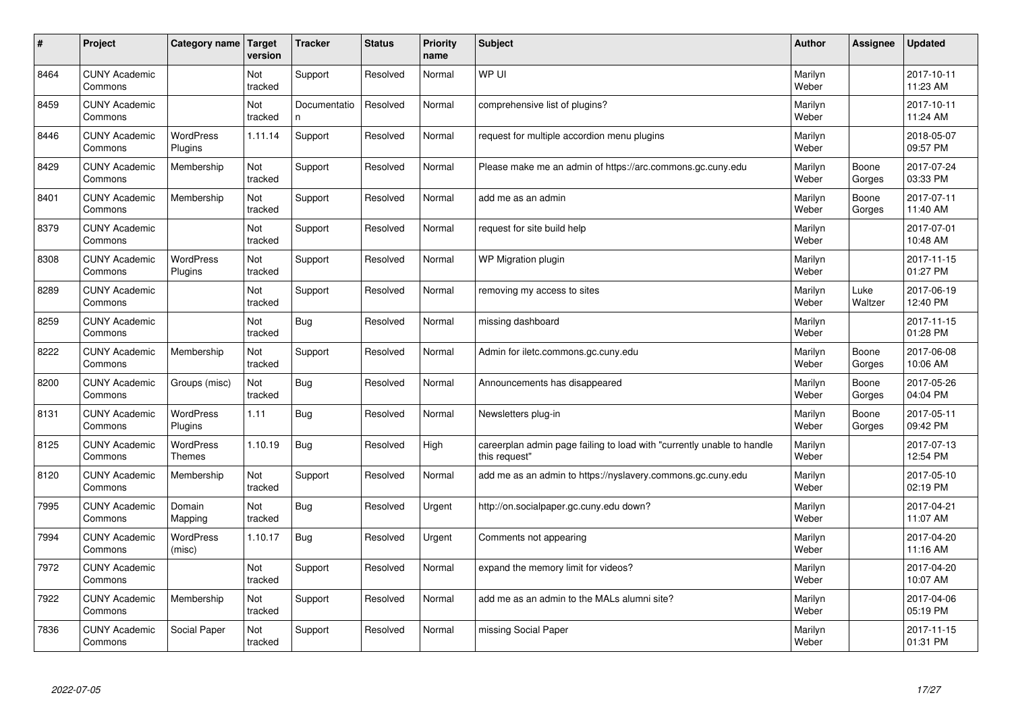| $\vert$ # | Project                         | Category name                     | <b>Target</b><br>version | <b>Tracker</b>    | <b>Status</b> | <b>Priority</b><br>name | <b>Subject</b>                                                                          | <b>Author</b>    | Assignee        | <b>Updated</b>         |
|-----------|---------------------------------|-----------------------------------|--------------------------|-------------------|---------------|-------------------------|-----------------------------------------------------------------------------------------|------------------|-----------------|------------------------|
| 8464      | <b>CUNY Academic</b><br>Commons |                                   | Not<br>tracked           | Support           | Resolved      | Normal                  | WP UI                                                                                   | Marilyn<br>Weber |                 | 2017-10-11<br>11:23 AM |
| 8459      | <b>CUNY Academic</b><br>Commons |                                   | Not<br>tracked           | Documentatio<br>n | Resolved      | Normal                  | comprehensive list of plugins?                                                          | Marilyn<br>Weber |                 | 2017-10-11<br>11:24 AM |
| 8446      | <b>CUNY Academic</b><br>Commons | <b>WordPress</b><br>Plugins       | 1.11.14                  | Support           | Resolved      | Normal                  | request for multiple accordion menu plugins                                             | Marilyn<br>Weber |                 | 2018-05-07<br>09:57 PM |
| 8429      | <b>CUNY Academic</b><br>Commons | Membership                        | Not<br>tracked           | Support           | Resolved      | Normal                  | Please make me an admin of https://arc.commons.gc.cuny.edu                              | Marilyn<br>Weber | Boone<br>Gorges | 2017-07-24<br>03:33 PM |
| 8401      | <b>CUNY Academic</b><br>Commons | Membership                        | Not<br>tracked           | Support           | Resolved      | Normal                  | add me as an admin                                                                      | Marilyn<br>Weber | Boone<br>Gorges | 2017-07-11<br>11:40 AM |
| 8379      | <b>CUNY Academic</b><br>Commons |                                   | Not<br>tracked           | Support           | Resolved      | Normal                  | request for site build help                                                             | Marilyn<br>Weber |                 | 2017-07-01<br>10:48 AM |
| 8308      | <b>CUNY Academic</b><br>Commons | <b>WordPress</b><br>Plugins       | Not<br>tracked           | Support           | Resolved      | Normal                  | WP Migration plugin                                                                     | Marilyn<br>Weber |                 | 2017-11-15<br>01:27 PM |
| 8289      | <b>CUNY Academic</b><br>Commons |                                   | <b>Not</b><br>tracked    | Support           | Resolved      | Normal                  | removing my access to sites                                                             | Marilyn<br>Weber | Luke<br>Waltzer | 2017-06-19<br>12:40 PM |
| 8259      | <b>CUNY Academic</b><br>Commons |                                   | Not<br>tracked           | <b>Bug</b>        | Resolved      | Normal                  | missing dashboard                                                                       | Marilyn<br>Weber |                 | 2017-11-15<br>01:28 PM |
| 8222      | <b>CUNY Academic</b><br>Commons | Membership                        | Not<br>tracked           | Support           | Resolved      | Normal                  | Admin for iletc.commons.gc.cuny.edu                                                     | Marilyn<br>Weber | Boone<br>Gorges | 2017-06-08<br>10:06 AM |
| 8200      | <b>CUNY Academic</b><br>Commons | Groups (misc)                     | Not<br>tracked           | <b>Bug</b>        | Resolved      | Normal                  | Announcements has disappeared                                                           | Marilyn<br>Weber | Boone<br>Gorges | 2017-05-26<br>04:04 PM |
| 8131      | <b>CUNY Academic</b><br>Commons | <b>WordPress</b><br>Plugins       | 1.11                     | Bug               | Resolved      | Normal                  | Newsletters plug-in                                                                     | Marilyn<br>Weber | Boone<br>Gorges | 2017-05-11<br>09:42 PM |
| 8125      | <b>CUNY Academic</b><br>Commons | <b>WordPress</b><br><b>Themes</b> | 1.10.19                  | Bug               | Resolved      | High                    | careerplan admin page failing to load with "currently unable to handle<br>this request" | Marilyn<br>Weber |                 | 2017-07-13<br>12:54 PM |
| 8120      | <b>CUNY Academic</b><br>Commons | Membership                        | Not<br>tracked           | Support           | Resolved      | Normal                  | add me as an admin to https://nyslavery.commons.gc.cuny.edu                             | Marilyn<br>Weber |                 | 2017-05-10<br>02:19 PM |
| 7995      | <b>CUNY Academic</b><br>Commons | Domain<br>Mapping                 | Not<br>tracked           | Bug               | Resolved      | Urgent                  | http://on.socialpaper.gc.cuny.edu down?                                                 | Marilyn<br>Weber |                 | 2017-04-21<br>11:07 AM |
| 7994      | <b>CUNY Academic</b><br>Commons | WordPress<br>(misc)               | 1.10.17                  | Bug               | Resolved      | Urgent                  | Comments not appearing                                                                  | Marilyn<br>Weber |                 | 2017-04-20<br>11:16 AM |
| 7972      | <b>CUNY Academic</b><br>Commons |                                   | Not<br>tracked           | Support           | Resolved      | Normal                  | expand the memory limit for videos?                                                     | Marilyn<br>Weber |                 | 2017-04-20<br>10:07 AM |
| 7922      | <b>CUNY Academic</b><br>Commons | Membership                        | Not<br>tracked           | Support           | Resolved      | Normal                  | add me as an admin to the MALs alumni site?                                             | Marilyn<br>Weber |                 | 2017-04-06<br>05:19 PM |
| 7836      | <b>CUNY Academic</b><br>Commons | Social Paper                      | Not<br>tracked           | Support           | Resolved      | Normal                  | missing Social Paper                                                                    | Marilyn<br>Weber |                 | 2017-11-15<br>01:31 PM |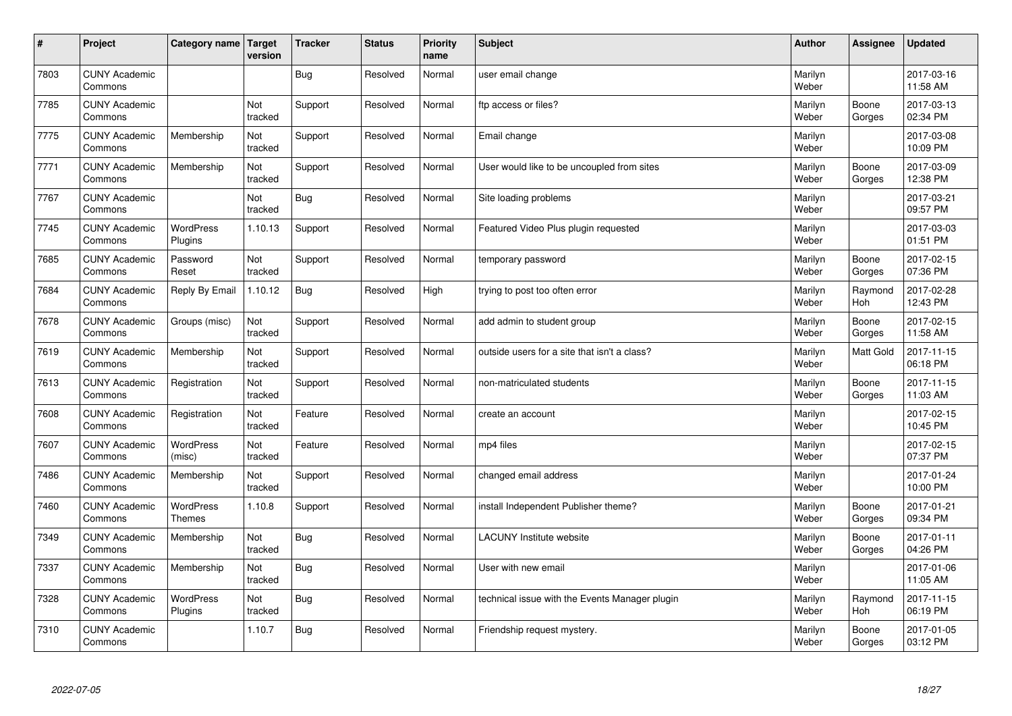| $\sharp$ | Project                         | Category name   Target            | version        | <b>Tracker</b> | <b>Status</b> | <b>Priority</b><br>name | <b>Subject</b>                                 | <b>Author</b>    | Assignee        | <b>Updated</b>         |
|----------|---------------------------------|-----------------------------------|----------------|----------------|---------------|-------------------------|------------------------------------------------|------------------|-----------------|------------------------|
| 7803     | <b>CUNY Academic</b><br>Commons |                                   |                | Bug            | Resolved      | Normal                  | user email change                              | Marilyn<br>Weber |                 | 2017-03-16<br>11:58 AM |
| 7785     | <b>CUNY Academic</b><br>Commons |                                   | Not<br>tracked | Support        | Resolved      | Normal                  | ftp access or files?                           | Marilyn<br>Weber | Boone<br>Gorges | 2017-03-13<br>02:34 PM |
| 7775     | <b>CUNY Academic</b><br>Commons | Membership                        | Not<br>tracked | Support        | Resolved      | Normal                  | Email change                                   | Marilyn<br>Weber |                 | 2017-03-08<br>10:09 PM |
| 7771     | <b>CUNY Academic</b><br>Commons | Membership                        | Not<br>tracked | Support        | Resolved      | Normal                  | User would like to be uncoupled from sites     | Marilyn<br>Weber | Boone<br>Gorges | 2017-03-09<br>12:38 PM |
| 7767     | <b>CUNY Academic</b><br>Commons |                                   | Not<br>tracked | Bug            | Resolved      | Normal                  | Site loading problems                          | Marilyn<br>Weber |                 | 2017-03-21<br>09:57 PM |
| 7745     | <b>CUNY Academic</b><br>Commons | <b>WordPress</b><br>Plugins       | 1.10.13        | Support        | Resolved      | Normal                  | Featured Video Plus plugin requested           | Marilyn<br>Weber |                 | 2017-03-03<br>01:51 PM |
| 7685     | <b>CUNY Academic</b><br>Commons | Password<br>Reset                 | Not<br>tracked | Support        | Resolved      | Normal                  | temporary password                             | Marilyn<br>Weber | Boone<br>Gorges | 2017-02-15<br>07:36 PM |
| 7684     | <b>CUNY Academic</b><br>Commons | Reply By Email                    | 1.10.12        | Bug            | Resolved      | High                    | trying to post too often error                 | Marilyn<br>Weber | Raymond<br>Hoh  | 2017-02-28<br>12:43 PM |
| 7678     | <b>CUNY Academic</b><br>Commons | Groups (misc)                     | Not<br>tracked | Support        | Resolved      | Normal                  | add admin to student group                     | Marilyn<br>Weber | Boone<br>Gorges | 2017-02-15<br>11:58 AM |
| 7619     | <b>CUNY Academic</b><br>Commons | Membership                        | Not<br>tracked | Support        | Resolved      | Normal                  | outside users for a site that isn't a class?   | Marilyn<br>Weber | Matt Gold       | 2017-11-15<br>06:18 PM |
| 7613     | <b>CUNY Academic</b><br>Commons | Registration                      | Not<br>tracked | Support        | Resolved      | Normal                  | non-matriculated students                      | Marilyn<br>Weber | Boone<br>Gorges | 2017-11-15<br>11:03 AM |
| 7608     | <b>CUNY Academic</b><br>Commons | Registration                      | Not<br>tracked | Feature        | Resolved      | Normal                  | create an account                              | Marilyn<br>Weber |                 | 2017-02-15<br>10:45 PM |
| 7607     | <b>CUNY Academic</b><br>Commons | WordPress<br>(misc)               | Not<br>tracked | Feature        | Resolved      | Normal                  | mp4 files                                      | Marilyn<br>Weber |                 | 2017-02-15<br>07:37 PM |
| 7486     | <b>CUNY Academic</b><br>Commons | Membership                        | Not<br>tracked | Support        | Resolved      | Normal                  | changed email address                          | Marilyn<br>Weber |                 | 2017-01-24<br>10:00 PM |
| 7460     | <b>CUNY Academic</b><br>Commons | <b>WordPress</b><br><b>Themes</b> | 1.10.8         | Support        | Resolved      | Normal                  | install Independent Publisher theme?           | Marilyn<br>Weber | Boone<br>Gorges | 2017-01-21<br>09:34 PM |
| 7349     | <b>CUNY Academic</b><br>Commons | Membership                        | Not<br>tracked | Bug            | Resolved      | Normal                  | <b>LACUNY</b> Institute website                | Marilyn<br>Weber | Boone<br>Gorges | 2017-01-11<br>04:26 PM |
| 7337     | <b>CUNY Academic</b><br>Commons | Membership                        | Not<br>tracked | Bug            | Resolved      | Normal                  | User with new email                            | Marilyn<br>Weber |                 | 2017-01-06<br>11:05 AM |
| 7328     | <b>CUNY Academic</b><br>Commons | <b>WordPress</b><br>Plugins       | Not<br>tracked | Bug            | Resolved      | Normal                  | technical issue with the Events Manager plugin | Marilyn<br>Weber | Raymond<br>Hoh  | 2017-11-15<br>06:19 PM |
| 7310     | <b>CUNY Academic</b><br>Commons |                                   | 1.10.7         | <b>Bug</b>     | Resolved      | Normal                  | Friendship request mystery.                    | Marilyn<br>Weber | Boone<br>Gorges | 2017-01-05<br>03:12 PM |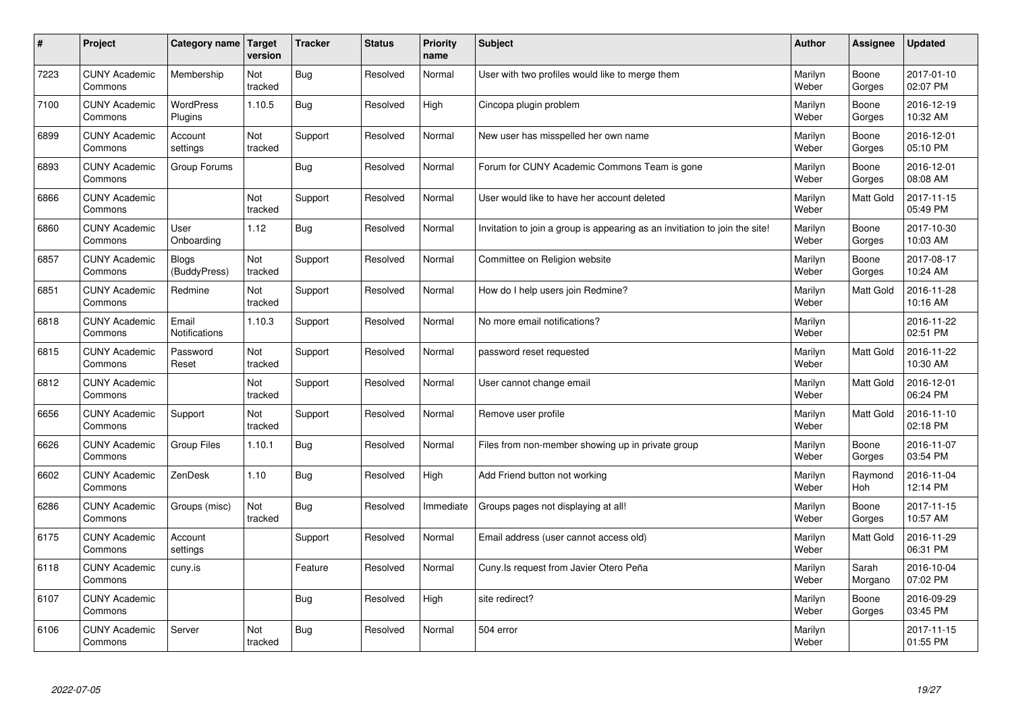| #    | Project                         | Category name                 | <b>Target</b><br>version | <b>Tracker</b> | <b>Status</b> | <b>Priority</b><br>name | <b>Subject</b>                                                              | <b>Author</b>    | Assignee         | <b>Updated</b>         |
|------|---------------------------------|-------------------------------|--------------------------|----------------|---------------|-------------------------|-----------------------------------------------------------------------------|------------------|------------------|------------------------|
| 7223 | <b>CUNY Academic</b><br>Commons | Membership                    | Not<br>tracked           | <b>Bug</b>     | Resolved      | Normal                  | User with two profiles would like to merge them                             | Marilyn<br>Weber | Boone<br>Gorges  | 2017-01-10<br>02:07 PM |
| 7100 | <b>CUNY Academic</b><br>Commons | <b>WordPress</b><br>Plugins   | 1.10.5                   | Bug            | Resolved      | High                    | Cincopa plugin problem                                                      | Marilyn<br>Weber | Boone<br>Gorges  | 2016-12-19<br>10:32 AM |
| 6899 | <b>CUNY Academic</b><br>Commons | Account<br>settings           | Not<br>tracked           | Support        | Resolved      | Normal                  | New user has misspelled her own name                                        | Marilyn<br>Weber | Boone<br>Gorges  | 2016-12-01<br>05:10 PM |
| 6893 | <b>CUNY Academic</b><br>Commons | Group Forums                  |                          | <b>Bug</b>     | Resolved      | Normal                  | Forum for CUNY Academic Commons Team is gone                                | Marilyn<br>Weber | Boone<br>Gorges  | 2016-12-01<br>08:08 AM |
| 6866 | <b>CUNY Academic</b><br>Commons |                               | Not<br>tracked           | Support        | Resolved      | Normal                  | User would like to have her account deleted                                 | Marilyn<br>Weber | <b>Matt Gold</b> | 2017-11-15<br>05:49 PM |
| 6860 | <b>CUNY Academic</b><br>Commons | User<br>Onboarding            | 1.12                     | <b>Bug</b>     | Resolved      | Normal                  | Invitation to join a group is appearing as an invitiation to join the site! | Marilyn<br>Weber | Boone<br>Gorges  | 2017-10-30<br>10:03 AM |
| 6857 | <b>CUNY Academic</b><br>Commons | Blogs<br>(BuddyPress)         | Not<br>tracked           | Support        | Resolved      | Normal                  | Committee on Religion website                                               | Marilyn<br>Weber | Boone<br>Gorges  | 2017-08-17<br>10:24 AM |
| 6851 | <b>CUNY Academic</b><br>Commons | Redmine                       | Not<br>tracked           | Support        | Resolved      | Normal                  | How do I help users join Redmine?                                           | Marilyn<br>Weber | Matt Gold        | 2016-11-28<br>10:16 AM |
| 6818 | <b>CUNY Academic</b><br>Commons | Email<br><b>Notifications</b> | 1.10.3                   | Support        | Resolved      | Normal                  | No more email notifications?                                                | Marilyn<br>Weber |                  | 2016-11-22<br>02:51 PM |
| 6815 | <b>CUNY Academic</b><br>Commons | Password<br>Reset             | Not<br>tracked           | Support        | Resolved      | Normal                  | password reset requested                                                    | Marilyn<br>Weber | Matt Gold        | 2016-11-22<br>10:30 AM |
| 6812 | <b>CUNY Academic</b><br>Commons |                               | Not<br>tracked           | Support        | Resolved      | Normal                  | User cannot change email                                                    | Marilyn<br>Weber | <b>Matt Gold</b> | 2016-12-01<br>06:24 PM |
| 6656 | <b>CUNY Academic</b><br>Commons | Support                       | Not<br>tracked           | Support        | Resolved      | Normal                  | Remove user profile                                                         | Marilyn<br>Weber | Matt Gold        | 2016-11-10<br>02:18 PM |
| 6626 | <b>CUNY Academic</b><br>Commons | Group Files                   | 1.10.1                   | Bug            | Resolved      | Normal                  | Files from non-member showing up in private group                           | Marilyn<br>Weber | Boone<br>Gorges  | 2016-11-07<br>03:54 PM |
| 6602 | <b>CUNY Academic</b><br>Commons | ZenDesk                       | 1.10                     | <b>Bug</b>     | Resolved      | High                    | Add Friend button not working                                               | Marilyn<br>Weber | Raymond<br>Hoh   | 2016-11-04<br>12:14 PM |
| 6286 | <b>CUNY Academic</b><br>Commons | Groups (misc)                 | Not<br>tracked           | <b>Bug</b>     | Resolved      | Immediate               | Groups pages not displaying at all!                                         | Marilyn<br>Weber | Boone<br>Gorges  | 2017-11-15<br>10:57 AM |
| 6175 | <b>CUNY Academic</b><br>Commons | Account<br>settings           |                          | Support        | Resolved      | Normal                  | Email address (user cannot access old)                                      | Marilyn<br>Weber | Matt Gold        | 2016-11-29<br>06:31 PM |
| 6118 | <b>CUNY Academic</b><br>Commons | cuny.is                       |                          | Feature        | Resolved      | Normal                  | Cuny.Is request from Javier Otero Peña                                      | Marilyn<br>Weber | Sarah<br>Morgano | 2016-10-04<br>07:02 PM |
| 6107 | <b>CUNY Academic</b><br>Commons |                               |                          | <b>Bug</b>     | Resolved      | High                    | site redirect?                                                              | Marilyn<br>Weber | Boone<br>Gorges  | 2016-09-29<br>03:45 PM |
| 6106 | <b>CUNY Academic</b><br>Commons | Server                        | Not<br>tracked           | <b>Bug</b>     | Resolved      | Normal                  | 504 error                                                                   | Marilyn<br>Weber |                  | 2017-11-15<br>01:55 PM |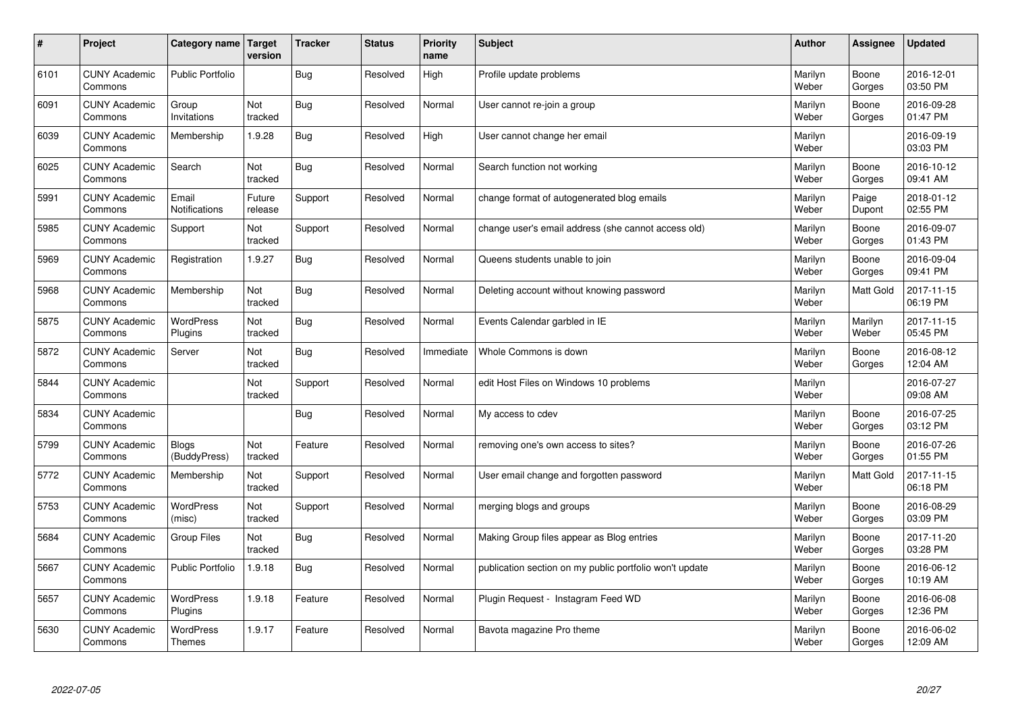| $\sharp$ | Project                         | Category name   Target            | version           | <b>Tracker</b> | <b>Status</b> | <b>Priority</b><br>name | <b>Subject</b>                                          | <b>Author</b>    | Assignee         | <b>Updated</b>         |
|----------|---------------------------------|-----------------------------------|-------------------|----------------|---------------|-------------------------|---------------------------------------------------------|------------------|------------------|------------------------|
| 6101     | <b>CUNY Academic</b><br>Commons | <b>Public Portfolio</b>           |                   | Bug            | Resolved      | High                    | Profile update problems                                 | Marilyn<br>Weber | Boone<br>Gorges  | 2016-12-01<br>03:50 PM |
| 6091     | <b>CUNY Academic</b><br>Commons | Group<br>Invitations              | Not<br>tracked    | Bug            | Resolved      | Normal                  | User cannot re-join a group                             | Marilyn<br>Weber | Boone<br>Gorges  | 2016-09-28<br>01:47 PM |
| 6039     | <b>CUNY Academic</b><br>Commons | Membership                        | 1.9.28            | Bug            | Resolved      | High                    | User cannot change her email                            | Marilyn<br>Weber |                  | 2016-09-19<br>03:03 PM |
| 6025     | <b>CUNY Academic</b><br>Commons | Search                            | Not<br>tracked    | <b>Bug</b>     | Resolved      | Normal                  | Search function not working                             | Marilyn<br>Weber | Boone<br>Gorges  | 2016-10-12<br>09:41 AM |
| 5991     | <b>CUNY Academic</b><br>Commons | Email<br>Notifications            | Future<br>release | Support        | Resolved      | Normal                  | change format of autogenerated blog emails              | Marilyn<br>Weber | Paige<br>Dupont  | 2018-01-12<br>02:55 PM |
| 5985     | <b>CUNY Academic</b><br>Commons | Support                           | Not<br>tracked    | Support        | Resolved      | Normal                  | change user's email address (she cannot access old)     | Marilyn<br>Weber | Boone<br>Gorges  | 2016-09-07<br>01:43 PM |
| 5969     | <b>CUNY Academic</b><br>Commons | Registration                      | 1.9.27            | Bug            | Resolved      | Normal                  | Queens students unable to join                          | Marilyn<br>Weber | Boone<br>Gorges  | 2016-09-04<br>09:41 PM |
| 5968     | <b>CUNY Academic</b><br>Commons | Membership                        | Not<br>tracked    | Bug            | Resolved      | Normal                  | Deleting account without knowing password               | Marilyn<br>Weber | Matt Gold        | 2017-11-15<br>06:19 PM |
| 5875     | <b>CUNY Academic</b><br>Commons | <b>WordPress</b><br>Plugins       | Not<br>tracked    | Bug            | Resolved      | Normal                  | Events Calendar garbled in IE                           | Marilyn<br>Weber | Marilyn<br>Weber | 2017-11-15<br>05:45 PM |
| 5872     | <b>CUNY Academic</b><br>Commons | Server                            | Not<br>tracked    | Bug            | Resolved      | Immediate               | Whole Commons is down                                   | Marilyn<br>Weber | Boone<br>Gorges  | 2016-08-12<br>12:04 AM |
| 5844     | <b>CUNY Academic</b><br>Commons |                                   | Not<br>tracked    | Support        | Resolved      | Normal                  | edit Host Files on Windows 10 problems                  | Marilyn<br>Weber |                  | 2016-07-27<br>09:08 AM |
| 5834     | <b>CUNY Academic</b><br>Commons |                                   |                   | Bug            | Resolved      | Normal                  | My access to cdev                                       | Marilyn<br>Weber | Boone<br>Gorges  | 2016-07-25<br>03:12 PM |
| 5799     | <b>CUNY Academic</b><br>Commons | Blogs<br>(BuddyPress)             | Not<br>tracked    | Feature        | Resolved      | Normal                  | removing one's own access to sites?                     | Marilyn<br>Weber | Boone<br>Gorges  | 2016-07-26<br>01:55 PM |
| 5772     | <b>CUNY Academic</b><br>Commons | Membership                        | Not<br>tracked    | Support        | Resolved      | Normal                  | User email change and forgotten password                | Marilyn<br>Weber | Matt Gold        | 2017-11-15<br>06:18 PM |
| 5753     | <b>CUNY Academic</b><br>Commons | <b>WordPress</b><br>(misc)        | Not<br>tracked    | Support        | Resolved      | Normal                  | merging blogs and groups                                | Marilyn<br>Weber | Boone<br>Gorges  | 2016-08-29<br>03:09 PM |
| 5684     | <b>CUNY Academic</b><br>Commons | <b>Group Files</b>                | Not<br>tracked    | <b>Bug</b>     | Resolved      | Normal                  | Making Group files appear as Blog entries               | Marilyn<br>Weber | Boone<br>Gorges  | 2017-11-20<br>03:28 PM |
| 5667     | <b>CUNY Academic</b><br>Commons | <b>Public Portfolio</b>           | 1.9.18            | Bug            | Resolved      | Normal                  | publication section on my public portfolio won't update | Marilyn<br>Weber | Boone<br>Gorges  | 2016-06-12<br>10:19 AM |
| 5657     | <b>CUNY Academic</b><br>Commons | WordPress<br>Plugins              | 1.9.18            | Feature        | Resolved      | Normal                  | Plugin Request - Instagram Feed WD                      | Marilyn<br>Weber | Boone<br>Gorges  | 2016-06-08<br>12:36 PM |
| 5630     | <b>CUNY Academic</b><br>Commons | <b>WordPress</b><br><b>Themes</b> | 1.9.17            | Feature        | Resolved      | Normal                  | Bavota magazine Pro theme                               | Marilyn<br>Weber | Boone<br>Gorges  | 2016-06-02<br>12:09 AM |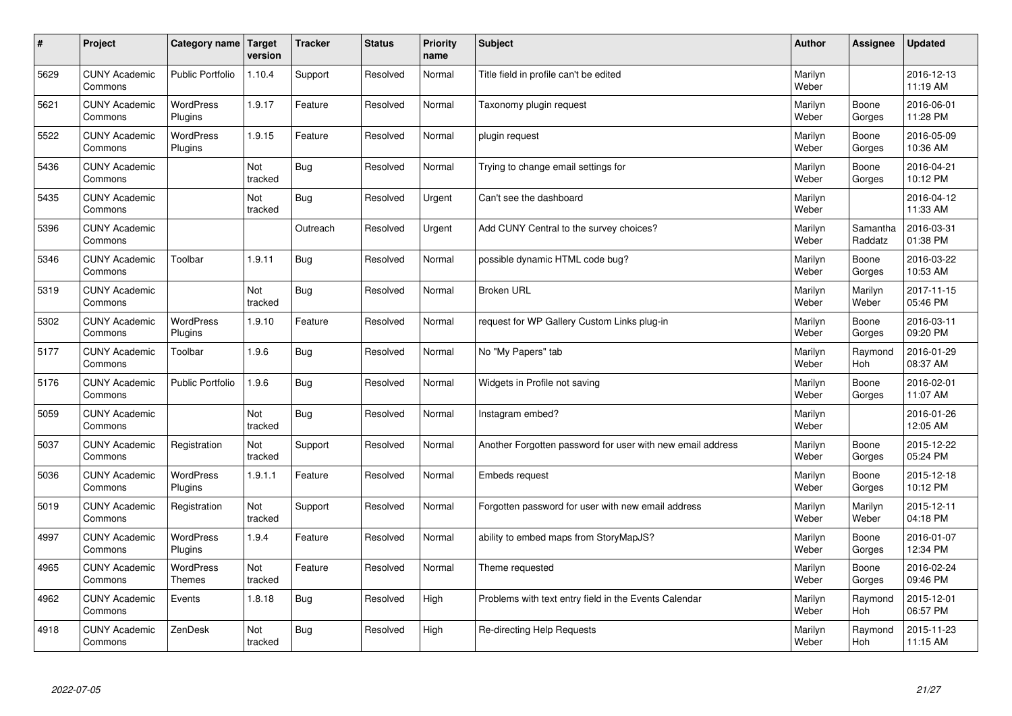| $\pmb{\#}$ | Project                         | <b>Category name</b>        | Target<br>version | <b>Tracker</b> | <b>Status</b> | <b>Priority</b><br>name | <b>Subject</b>                                             | <b>Author</b>    | Assignee            | <b>Updated</b>         |
|------------|---------------------------------|-----------------------------|-------------------|----------------|---------------|-------------------------|------------------------------------------------------------|------------------|---------------------|------------------------|
| 5629       | <b>CUNY Academic</b><br>Commons | <b>Public Portfolio</b>     | 1.10.4            | Support        | Resolved      | Normal                  | Title field in profile can't be edited                     | Marilyn<br>Weber |                     | 2016-12-13<br>11:19 AM |
| 5621       | <b>CUNY Academic</b><br>Commons | <b>WordPress</b><br>Plugins | 1.9.17            | Feature        | Resolved      | Normal                  | Taxonomy plugin request                                    | Marilyn<br>Weber | Boone<br>Gorges     | 2016-06-01<br>11:28 PM |
| 5522       | <b>CUNY Academic</b><br>Commons | <b>WordPress</b><br>Plugins | 1.9.15            | Feature        | Resolved      | Normal                  | plugin request                                             | Marilyn<br>Weber | Boone<br>Gorges     | 2016-05-09<br>10:36 AM |
| 5436       | <b>CUNY Academic</b><br>Commons |                             | Not<br>tracked    | <b>Bug</b>     | Resolved      | Normal                  | Trying to change email settings for                        | Marilyn<br>Weber | Boone<br>Gorges     | 2016-04-21<br>10:12 PM |
| 5435       | <b>CUNY Academic</b><br>Commons |                             | Not<br>tracked    | Bug            | Resolved      | Urgent                  | Can't see the dashboard                                    | Marilyn<br>Weber |                     | 2016-04-12<br>11:33 AM |
| 5396       | <b>CUNY Academic</b><br>Commons |                             |                   | Outreach       | Resolved      | Urgent                  | Add CUNY Central to the survey choices?                    | Marilyn<br>Weber | Samantha<br>Raddatz | 2016-03-31<br>01:38 PM |
| 5346       | <b>CUNY Academic</b><br>Commons | Toolbar                     | 1.9.11            | Bug            | Resolved      | Normal                  | possible dynamic HTML code bug?                            | Marilyn<br>Weber | Boone<br>Gorges     | 2016-03-22<br>10:53 AM |
| 5319       | <b>CUNY Academic</b><br>Commons |                             | Not<br>tracked    | <b>Bug</b>     | Resolved      | Normal                  | <b>Broken URL</b>                                          | Marilyn<br>Weber | Marilyn<br>Weber    | 2017-11-15<br>05:46 PM |
| 5302       | <b>CUNY Academic</b><br>Commons | <b>WordPress</b><br>Plugins | 1.9.10            | Feature        | Resolved      | Normal                  | request for WP Gallery Custom Links plug-in                | Marilyn<br>Weber | Boone<br>Gorges     | 2016-03-11<br>09:20 PM |
| 5177       | <b>CUNY Academic</b><br>Commons | Toolbar                     | 1.9.6             | Bug            | Resolved      | Normal                  | No "My Papers" tab                                         | Marilyn<br>Weber | Raymond<br>Hoh      | 2016-01-29<br>08:37 AM |
| 5176       | <b>CUNY Academic</b><br>Commons | <b>Public Portfolio</b>     | 1.9.6             | <b>Bug</b>     | Resolved      | Normal                  | Widgets in Profile not saving                              | Marilyn<br>Weber | Boone<br>Gorges     | 2016-02-01<br>11:07 AM |
| 5059       | <b>CUNY Academic</b><br>Commons |                             | Not<br>tracked    | <b>Bug</b>     | Resolved      | Normal                  | Instagram embed?                                           | Marilyn<br>Weber |                     | 2016-01-26<br>12:05 AM |
| 5037       | <b>CUNY Academic</b><br>Commons | Registration                | Not<br>tracked    | Support        | Resolved      | Normal                  | Another Forgotten password for user with new email address | Marilyn<br>Weber | Boone<br>Gorges     | 2015-12-22<br>05:24 PM |
| 5036       | <b>CUNY Academic</b><br>Commons | WordPress<br>Plugins        | 1.9.1.1           | Feature        | Resolved      | Normal                  | Embeds request                                             | Marilyn<br>Weber | Boone<br>Gorges     | 2015-12-18<br>10:12 PM |
| 5019       | <b>CUNY Academic</b><br>Commons | Registration                | Not<br>tracked    | Support        | Resolved      | Normal                  | Forgotten password for user with new email address         | Marilyn<br>Weber | Marilyn<br>Weber    | 2015-12-11<br>04:18 PM |
| 4997       | <b>CUNY Academic</b><br>Commons | <b>WordPress</b><br>Plugins | 1.9.4             | Feature        | Resolved      | Normal                  | ability to embed maps from StoryMapJS?                     | Marilyn<br>Weber | Boone<br>Gorges     | 2016-01-07<br>12:34 PM |
| 4965       | <b>CUNY Academic</b><br>Commons | <b>WordPress</b><br>Themes  | Not<br>tracked    | Feature        | Resolved      | Normal                  | Theme requested                                            | Marilyn<br>Weber | Boone<br>Gorges     | 2016-02-24<br>09:46 PM |
| 4962       | <b>CUNY Academic</b><br>Commons | Events                      | 1.8.18            | <b>Bug</b>     | Resolved      | High                    | Problems with text entry field in the Events Calendar      | Marilyn<br>Weber | Raymond<br>Hoh      | 2015-12-01<br>06:57 PM |
| 4918       | <b>CUNY Academic</b><br>Commons | ZenDesk                     | Not<br>tracked    | <b>Bug</b>     | Resolved      | High                    | Re-directing Help Requests                                 | Marilyn<br>Weber | Raymond<br>Hoh      | 2015-11-23<br>11:15 AM |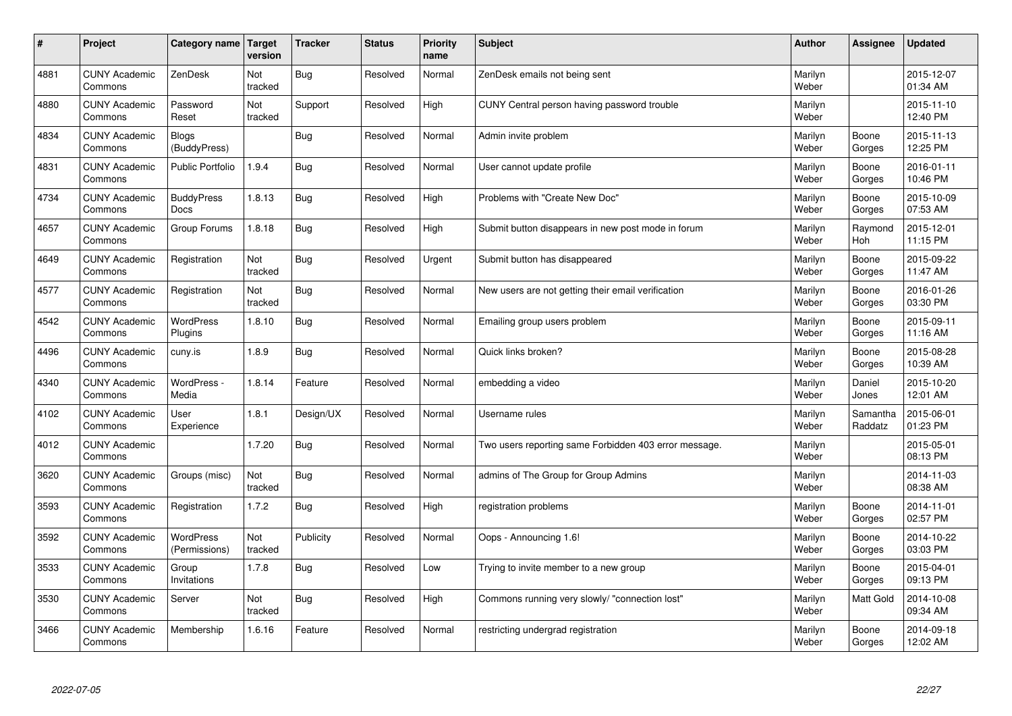| $\sharp$ | Project                         | Category name   Target     | version        | <b>Tracker</b> | <b>Status</b> | <b>Priority</b><br>name | <b>Subject</b>                                        | <b>Author</b>    | Assignee            | <b>Updated</b>         |
|----------|---------------------------------|----------------------------|----------------|----------------|---------------|-------------------------|-------------------------------------------------------|------------------|---------------------|------------------------|
| 4881     | <b>CUNY Academic</b><br>Commons | ZenDesk                    | Not<br>tracked | Bug            | Resolved      | Normal                  | ZenDesk emails not being sent                         | Marilyn<br>Weber |                     | 2015-12-07<br>01:34 AM |
| 4880     | <b>CUNY Academic</b><br>Commons | Password<br>Reset          | Not<br>tracked | Support        | Resolved      | High                    | CUNY Central person having password trouble           | Marilyn<br>Weber |                     | 2015-11-10<br>12:40 PM |
| 4834     | <b>CUNY Academic</b><br>Commons | Blogs<br>(BuddyPress)      |                | Bug            | Resolved      | Normal                  | Admin invite problem                                  | Marilyn<br>Weber | Boone<br>Gorges     | 2015-11-13<br>12:25 PM |
| 4831     | <b>CUNY Academic</b><br>Commons | <b>Public Portfolio</b>    | 1.9.4          | Bug            | Resolved      | Normal                  | User cannot update profile                            | Marilyn<br>Weber | Boone<br>Gorges     | 2016-01-11<br>10:46 PM |
| 4734     | <b>CUNY Academic</b><br>Commons | <b>BuddyPress</b><br>Docs  | 1.8.13         | Bug            | Resolved      | High                    | Problems with "Create New Doc"                        | Marilyn<br>Weber | Boone<br>Gorges     | 2015-10-09<br>07:53 AM |
| 4657     | <b>CUNY Academic</b><br>Commons | Group Forums               | 1.8.18         | Bug            | Resolved      | High                    | Submit button disappears in new post mode in forum    | Marilyn<br>Weber | Raymond<br>Hoh      | 2015-12-01<br>11:15 PM |
| 4649     | <b>CUNY Academic</b><br>Commons | Registration               | Not<br>tracked | <b>Bug</b>     | Resolved      | Urgent                  | Submit button has disappeared                         | Marilyn<br>Weber | Boone<br>Gorges     | 2015-09-22<br>11:47 AM |
| 4577     | <b>CUNY Academic</b><br>Commons | Registration               | Not<br>tracked | <b>Bug</b>     | Resolved      | Normal                  | New users are not getting their email verification    | Marilyn<br>Weber | Boone<br>Gorges     | 2016-01-26<br>03:30 PM |
| 4542     | <b>CUNY Academic</b><br>Commons | WordPress<br>Plugins       | 1.8.10         | Bug            | Resolved      | Normal                  | Emailing group users problem                          | Marilyn<br>Weber | Boone<br>Gorges     | 2015-09-11<br>11:16 AM |
| 4496     | <b>CUNY Academic</b><br>Commons | cuny.is                    | 1.8.9          | Bug            | Resolved      | Normal                  | Quick links broken?                                   | Marilyn<br>Weber | Boone<br>Gorges     | 2015-08-28<br>10:39 AM |
| 4340     | <b>CUNY Academic</b><br>Commons | WordPress -<br>Media       | 1.8.14         | Feature        | Resolved      | Normal                  | embedding a video                                     | Marilyn<br>Weber | Daniel<br>Jones     | 2015-10-20<br>12:01 AM |
| 4102     | <b>CUNY Academic</b><br>Commons | User<br>Experience         | 1.8.1          | Design/UX      | Resolved      | Normal                  | Username rules                                        | Marilyn<br>Weber | Samantha<br>Raddatz | 2015-06-01<br>01:23 PM |
| 4012     | <b>CUNY Academic</b><br>Commons |                            | 1.7.20         | Bug            | Resolved      | Normal                  | Two users reporting same Forbidden 403 error message. | Marilyn<br>Weber |                     | 2015-05-01<br>08:13 PM |
| 3620     | <b>CUNY Academic</b><br>Commons | Groups (misc)              | Not<br>tracked | Bug            | Resolved      | Normal                  | admins of The Group for Group Admins                  | Marilyn<br>Weber |                     | 2014-11-03<br>08:38 AM |
| 3593     | <b>CUNY Academic</b><br>Commons | Registration               | 1.7.2          | Bug            | Resolved      | High                    | registration problems                                 | Marilyn<br>Weber | Boone<br>Gorges     | 2014-11-01<br>02:57 PM |
| 3592     | <b>CUNY Academic</b><br>Commons | WordPress<br>(Permissions) | Not<br>tracked | Publicity      | Resolved      | Normal                  | Oops - Announcing 1.6!                                | Marilyn<br>Weber | Boone<br>Gorges     | 2014-10-22<br>03:03 PM |
| 3533     | <b>CUNY Academic</b><br>Commons | Group<br>Invitations       | 1.7.8          | Bug            | Resolved      | Low                     | Trying to invite member to a new group                | Marilyn<br>Weber | Boone<br>Gorges     | 2015-04-01<br>09:13 PM |
| 3530     | <b>CUNY Academic</b><br>Commons | Server                     | Not<br>tracked | <b>Bug</b>     | Resolved      | High                    | Commons running very slowly/ "connection lost"        | Marilyn<br>Weber | <b>Matt Gold</b>    | 2014-10-08<br>09:34 AM |
| 3466     | <b>CUNY Academic</b><br>Commons | Membership                 | 1.6.16         | Feature        | Resolved      | Normal                  | restricting undergrad registration                    | Marilyn<br>Weber | Boone<br>Gorges     | 2014-09-18<br>12:02 AM |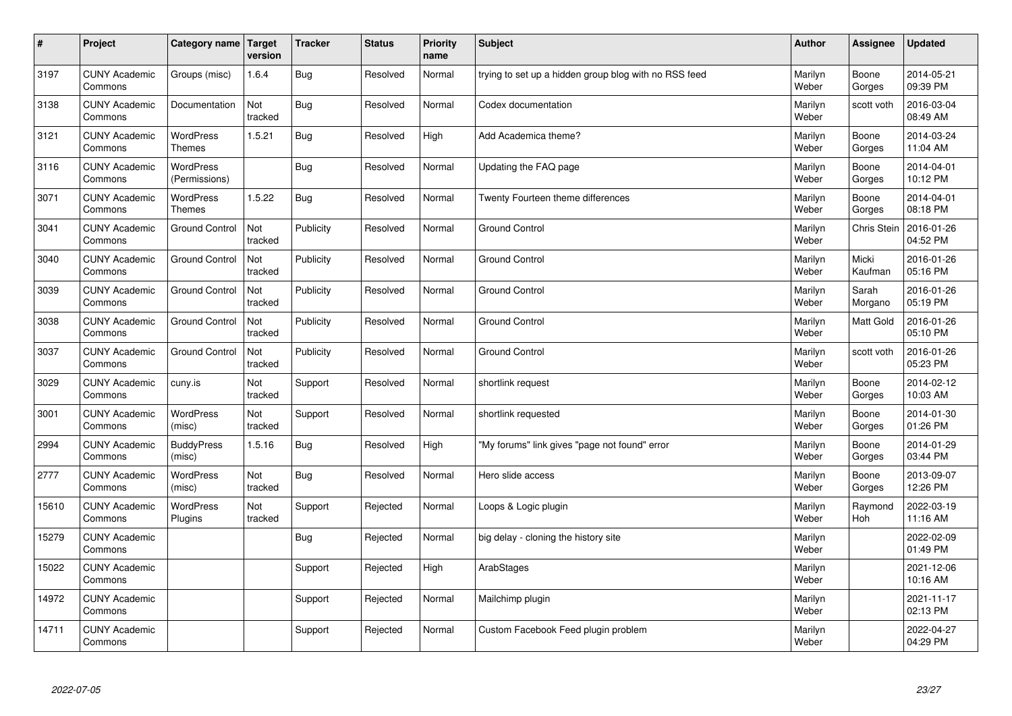| $\sharp$ | Project                         | Category name   Target            | version        | <b>Tracker</b> | <b>Status</b> | <b>Priority</b><br>name | <b>Subject</b>                                        | <b>Author</b>    | Assignee           | <b>Updated</b>         |
|----------|---------------------------------|-----------------------------------|----------------|----------------|---------------|-------------------------|-------------------------------------------------------|------------------|--------------------|------------------------|
| 3197     | <b>CUNY Academic</b><br>Commons | Groups (misc)                     | 1.6.4          | Bug            | Resolved      | Normal                  | trying to set up a hidden group blog with no RSS feed | Marilyn<br>Weber | Boone<br>Gorges    | 2014-05-21<br>09:39 PM |
| 3138     | <b>CUNY Academic</b><br>Commons | Documentation                     | Not<br>tracked | Bug            | Resolved      | Normal                  | Codex documentation                                   | Marilyn<br>Weber | scott voth         | 2016-03-04<br>08:49 AM |
| 3121     | <b>CUNY Academic</b><br>Commons | <b>WordPress</b><br><b>Themes</b> | 1.5.21         | Bug            | Resolved      | High                    | Add Academica theme?                                  | Marilyn<br>Weber | Boone<br>Gorges    | 2014-03-24<br>11:04 AM |
| 3116     | <b>CUNY Academic</b><br>Commons | <b>WordPress</b><br>(Permissions) |                | <b>Bug</b>     | Resolved      | Normal                  | Updating the FAQ page                                 | Marilyn<br>Weber | Boone<br>Gorges    | 2014-04-01<br>10:12 PM |
| 3071     | <b>CUNY Academic</b><br>Commons | <b>WordPress</b><br><b>Themes</b> | 1.5.22         | Bug            | Resolved      | Normal                  | Twenty Fourteen theme differences                     | Marilyn<br>Weber | Boone<br>Gorges    | 2014-04-01<br>08:18 PM |
| 3041     | <b>CUNY Academic</b><br>Commons | <b>Ground Control</b>             | Not<br>tracked | Publicity      | Resolved      | Normal                  | Ground Control                                        | Marilyn<br>Weber | <b>Chris Stein</b> | 2016-01-26<br>04:52 PM |
| 3040     | <b>CUNY Academic</b><br>Commons | <b>Ground Control</b>             | Not<br>tracked | Publicity      | Resolved      | Normal                  | <b>Ground Control</b>                                 | Marilyn<br>Weber | Micki<br>Kaufman   | 2016-01-26<br>05:16 PM |
| 3039     | <b>CUNY Academic</b><br>Commons | <b>Ground Control</b>             | Not<br>tracked | Publicity      | Resolved      | Normal                  | <b>Ground Control</b>                                 | Marilyn<br>Weber | Sarah<br>Morgano   | 2016-01-26<br>05:19 PM |
| 3038     | <b>CUNY Academic</b><br>Commons | <b>Ground Control</b>             | Not<br>tracked | Publicity      | Resolved      | Normal                  | <b>Ground Control</b>                                 | Marilyn<br>Weber | <b>Matt Gold</b>   | 2016-01-26<br>05:10 PM |
| 3037     | <b>CUNY Academic</b><br>Commons | <b>Ground Control</b>             | Not<br>tracked | Publicity      | Resolved      | Normal                  | <b>Ground Control</b>                                 | Marilyn<br>Weber | scott voth         | 2016-01-26<br>05:23 PM |
| 3029     | <b>CUNY Academic</b><br>Commons | cuny.is                           | Not<br>tracked | Support        | Resolved      | Normal                  | shortlink request                                     | Marilyn<br>Weber | Boone<br>Gorges    | 2014-02-12<br>10:03 AM |
| 3001     | <b>CUNY Academic</b><br>Commons | <b>WordPress</b><br>(misc)        | Not<br>tracked | Support        | Resolved      | Normal                  | shortlink requested                                   | Marilyn<br>Weber | Boone<br>Gorges    | 2014-01-30<br>01:26 PM |
| 2994     | <b>CUNY Academic</b><br>Commons | <b>BuddyPress</b><br>(misc)       | 1.5.16         | <b>Bug</b>     | Resolved      | High                    | "My forums" link gives "page not found" error         | Marilyn<br>Weber | Boone<br>Gorges    | 2014-01-29<br>03:44 PM |
| 2777     | <b>CUNY Academic</b><br>Commons | WordPress<br>(misc)               | Not<br>tracked | Bug            | Resolved      | Normal                  | Hero slide access                                     | Marilyn<br>Weber | Boone<br>Gorges    | 2013-09-07<br>12:26 PM |
| 15610    | <b>CUNY Academic</b><br>Commons | <b>WordPress</b><br>Plugins       | Not<br>tracked | Support        | Rejected      | Normal                  | Loops & Logic plugin                                  | Marilyn<br>Weber | Raymond<br>Hoh     | 2022-03-19<br>11:16 AM |
| 15279    | <b>CUNY Academic</b><br>Commons |                                   |                | Bug            | Rejected      | Normal                  | big delay - cloning the history site                  | Marilyn<br>Weber |                    | 2022-02-09<br>01:49 PM |
| 15022    | <b>CUNY Academic</b><br>Commons |                                   |                | Support        | Rejected      | High                    | ArabStages                                            | Marilyn<br>Weber |                    | 2021-12-06<br>10:16 AM |
| 14972    | <b>CUNY Academic</b><br>Commons |                                   |                | Support        | Rejected      | Normal                  | Mailchimp plugin                                      | Marilyn<br>Weber |                    | 2021-11-17<br>02:13 PM |
| 14711    | <b>CUNY Academic</b><br>Commons |                                   |                | Support        | Rejected      | Normal                  | Custom Facebook Feed plugin problem                   | Marilyn<br>Weber |                    | 2022-04-27<br>04:29 PM |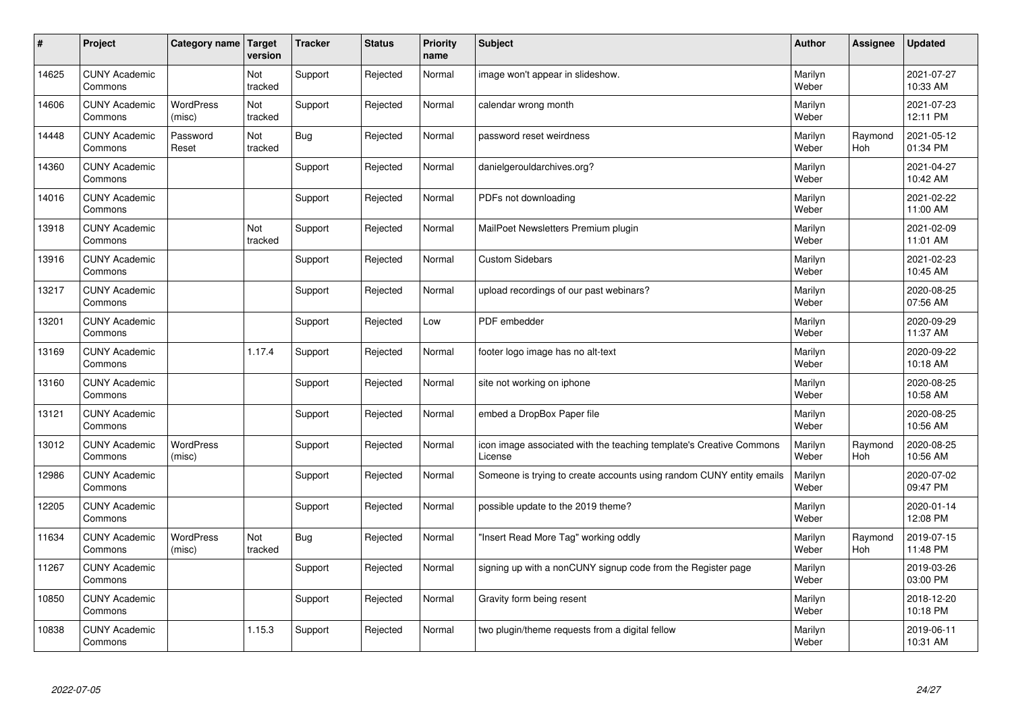| $\sharp$ | Project                         | Category name   Target     | version        | <b>Tracker</b> | <b>Status</b> | <b>Priority</b><br>name | <b>Subject</b>                                                                 | <b>Author</b>    | <b>Assignee</b>       | <b>Updated</b>         |
|----------|---------------------------------|----------------------------|----------------|----------------|---------------|-------------------------|--------------------------------------------------------------------------------|------------------|-----------------------|------------------------|
| 14625    | <b>CUNY Academic</b><br>Commons |                            | Not<br>tracked | Support        | Rejected      | Normal                  | image won't appear in slideshow.                                               | Marilyn<br>Weber |                       | 2021-07-27<br>10:33 AM |
| 14606    | <b>CUNY Academic</b><br>Commons | <b>WordPress</b><br>(misc) | Not<br>tracked | Support        | Rejected      | Normal                  | calendar wrong month                                                           | Marilyn<br>Weber |                       | 2021-07-23<br>12:11 PM |
| 14448    | <b>CUNY Academic</b><br>Commons | Password<br>Reset          | Not<br>tracked | Bug            | Rejected      | Normal                  | password reset weirdness                                                       | Marilyn<br>Weber | Raymond<br><b>Hoh</b> | 2021-05-12<br>01:34 PM |
| 14360    | <b>CUNY Academic</b><br>Commons |                            |                | Support        | Rejected      | Normal                  | danielgerouldarchives.org?                                                     | Marilyn<br>Weber |                       | 2021-04-27<br>10:42 AM |
| 14016    | <b>CUNY Academic</b><br>Commons |                            |                | Support        | Rejected      | Normal                  | PDFs not downloading                                                           | Marilyn<br>Weber |                       | 2021-02-22<br>11:00 AM |
| 13918    | <b>CUNY Academic</b><br>Commons |                            | Not<br>tracked | Support        | Rejected      | Normal                  | MailPoet Newsletters Premium plugin                                            | Marilyn<br>Weber |                       | 2021-02-09<br>11:01 AM |
| 13916    | <b>CUNY Academic</b><br>Commons |                            |                | Support        | Rejected      | Normal                  | <b>Custom Sidebars</b>                                                         | Marilyn<br>Weber |                       | 2021-02-23<br>10:45 AM |
| 13217    | <b>CUNY Academic</b><br>Commons |                            |                | Support        | Rejected      | Normal                  | upload recordings of our past webinars?                                        | Marilyn<br>Weber |                       | 2020-08-25<br>07:56 AM |
| 13201    | <b>CUNY Academic</b><br>Commons |                            |                | Support        | Rejected      | Low                     | PDF embedder                                                                   | Marilyn<br>Weber |                       | 2020-09-29<br>11:37 AM |
| 13169    | <b>CUNY Academic</b><br>Commons |                            | 1.17.4         | Support        | Rejected      | Normal                  | footer logo image has no alt-text                                              | Marilyn<br>Weber |                       | 2020-09-22<br>10:18 AM |
| 13160    | <b>CUNY Academic</b><br>Commons |                            |                | Support        | Rejected      | Normal                  | site not working on iphone                                                     | Marilyn<br>Weber |                       | 2020-08-25<br>10:58 AM |
| 13121    | <b>CUNY Academic</b><br>Commons |                            |                | Support        | Rejected      | Normal                  | embed a DropBox Paper file                                                     | Marilyn<br>Weber |                       | 2020-08-25<br>10:56 AM |
| 13012    | <b>CUNY Academic</b><br>Commons | <b>WordPress</b><br>(misc) |                | Support        | Rejected      | Normal                  | icon image associated with the teaching template's Creative Commons<br>License | Marilyn<br>Weber | Raymond<br>Hoh        | 2020-08-25<br>10:56 AM |
| 12986    | <b>CUNY Academic</b><br>Commons |                            |                | Support        | Rejected      | Normal                  | Someone is trying to create accounts using random CUNY entity emails           | Marilyn<br>Weber |                       | 2020-07-02<br>09:47 PM |
| 12205    | <b>CUNY Academic</b><br>Commons |                            |                | Support        | Rejected      | Normal                  | possible update to the 2019 theme?                                             | Marilyn<br>Weber |                       | 2020-01-14<br>12:08 PM |
| 11634    | <b>CUNY Academic</b><br>Commons | <b>WordPress</b><br>(misc) | Not<br>tracked | Bug            | Rejected      | Normal                  | "Insert Read More Tag" working oddly                                           | Marilyn<br>Weber | Raymond<br><b>Hoh</b> | 2019-07-15<br>11:48 PM |
| 11267    | <b>CUNY Academic</b><br>Commons |                            |                | Support        | Rejected      | Normal                  | signing up with a nonCUNY signup code from the Register page                   | Marilyn<br>Weber |                       | 2019-03-26<br>03:00 PM |
| 10850    | <b>CUNY Academic</b><br>Commons |                            |                | Support        | Rejected      | Normal                  | Gravity form being resent                                                      | Marilyn<br>Weber |                       | 2018-12-20<br>10:18 PM |
| 10838    | <b>CUNY Academic</b><br>Commons |                            | 1.15.3         | Support        | Rejected      | Normal                  | two plugin/theme requests from a digital fellow                                | Marilyn<br>Weber |                       | 2019-06-11<br>10:31 AM |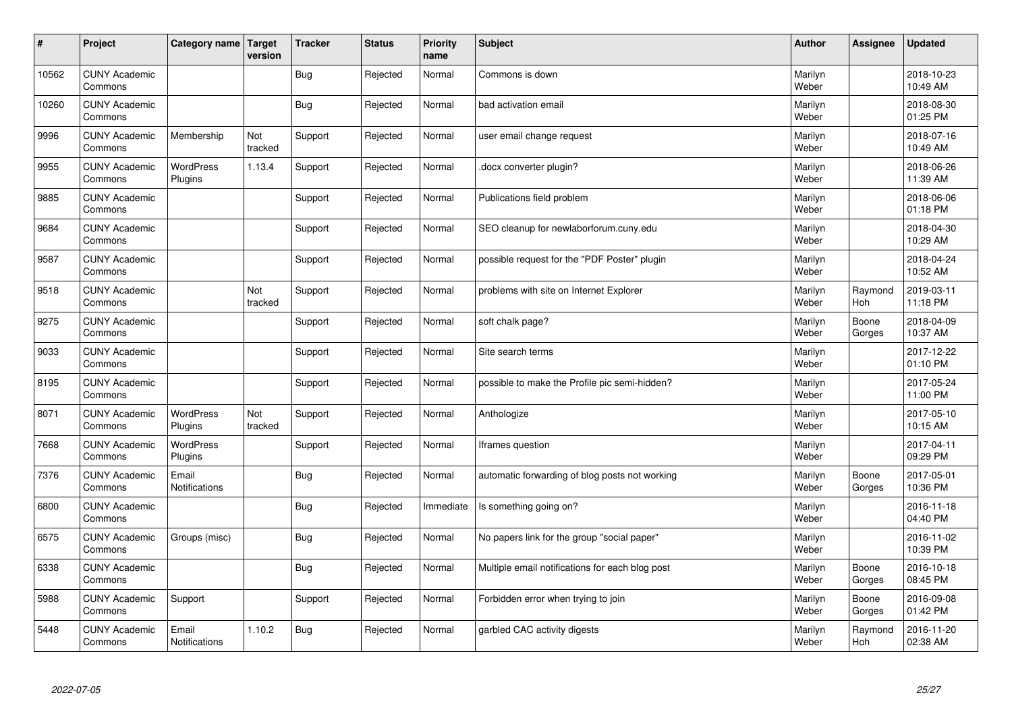| $\sharp$ | Project                         | Category name   Target        | version        | <b>Tracker</b> | <b>Status</b> | <b>Priority</b><br>name | <b>Subject</b>                                  | <b>Author</b>    | <b>Assignee</b> | <b>Updated</b>         |
|----------|---------------------------------|-------------------------------|----------------|----------------|---------------|-------------------------|-------------------------------------------------|------------------|-----------------|------------------------|
| 10562    | <b>CUNY Academic</b><br>Commons |                               |                | Bug            | Rejected      | Normal                  | Commons is down                                 | Marilyn<br>Weber |                 | 2018-10-23<br>10:49 AM |
| 10260    | <b>CUNY Academic</b><br>Commons |                               |                | <b>Bug</b>     | Rejected      | Normal                  | bad activation email                            | Marilyn<br>Weber |                 | 2018-08-30<br>01:25 PM |
| 9996     | <b>CUNY Academic</b><br>Commons | Membership                    | Not<br>tracked | Support        | Rejected      | Normal                  | user email change request                       | Marilyn<br>Weber |                 | 2018-07-16<br>10:49 AM |
| 9955     | <b>CUNY Academic</b><br>Commons | <b>WordPress</b><br>Plugins   | 1.13.4         | Support        | Rejected      | Normal                  | docx converter plugin?                          | Marilyn<br>Weber |                 | 2018-06-26<br>11:39 AM |
| 9885     | <b>CUNY Academic</b><br>Commons |                               |                | Support        | Rejected      | Normal                  | Publications field problem                      | Marilyn<br>Weber |                 | 2018-06-06<br>01:18 PM |
| 9684     | <b>CUNY Academic</b><br>Commons |                               |                | Support        | Rejected      | Normal                  | SEO cleanup for newlaborforum.cuny.edu          | Marilyn<br>Weber |                 | 2018-04-30<br>10:29 AM |
| 9587     | <b>CUNY Academic</b><br>Commons |                               |                | Support        | Rejected      | Normal                  | possible request for the "PDF Poster" plugin    | Marilyn<br>Weber |                 | 2018-04-24<br>10:52 AM |
| 9518     | <b>CUNY Academic</b><br>Commons |                               | Not<br>tracked | Support        | Rejected      | Normal                  | problems with site on Internet Explorer         | Marilyn<br>Weber | Raymond<br>Hoh  | 2019-03-11<br>11:18 PM |
| 9275     | <b>CUNY Academic</b><br>Commons |                               |                | Support        | Rejected      | Normal                  | soft chalk page?                                | Marilyn<br>Weber | Boone<br>Gorges | 2018-04-09<br>10:37 AM |
| 9033     | <b>CUNY Academic</b><br>Commons |                               |                | Support        | Rejected      | Normal                  | Site search terms                               | Marilyn<br>Weber |                 | 2017-12-22<br>01:10 PM |
| 8195     | <b>CUNY Academic</b><br>Commons |                               |                | Support        | Rejected      | Normal                  | possible to make the Profile pic semi-hidden?   | Marilyn<br>Weber |                 | 2017-05-24<br>11:00 PM |
| 8071     | <b>CUNY Academic</b><br>Commons | <b>WordPress</b><br>Plugins   | Not<br>tracked | Support        | Rejected      | Normal                  | Anthologize                                     | Marilyn<br>Weber |                 | 2017-05-10<br>10:15 AM |
| 7668     | <b>CUNY Academic</b><br>Commons | <b>WordPress</b><br>Plugins   |                | Support        | Rejected      | Normal                  | Iframes question                                | Marilyn<br>Weber |                 | 2017-04-11<br>09:29 PM |
| 7376     | <b>CUNY Academic</b><br>Commons | Email<br><b>Notifications</b> |                | Bug            | Rejected      | Normal                  | automatic forwarding of blog posts not working  | Marilyn<br>Weber | Boone<br>Gorges | 2017-05-01<br>10:36 PM |
| 6800     | <b>CUNY Academic</b><br>Commons |                               |                | <b>Bug</b>     | Rejected      | Immediate               | Is something going on?                          | Marilyn<br>Weber |                 | 2016-11-18<br>04:40 PM |
| 6575     | <b>CUNY Academic</b><br>Commons | Groups (misc)                 |                | Bug            | Rejected      | Normal                  | No papers link for the group "social paper"     | Marilyn<br>Weber |                 | 2016-11-02<br>10:39 PM |
| 6338     | <b>CUNY Academic</b><br>Commons |                               |                | Bug            | Rejected      | Normal                  | Multiple email notifications for each blog post | Marilyn<br>Weber | Boone<br>Gorges | 2016-10-18<br>08:45 PM |
| 5988     | <b>CUNY Academic</b><br>Commons | Support                       |                | Support        | Rejected      | Normal                  | Forbidden error when trying to join             | Marilyn<br>Weber | Boone<br>Gorges | 2016-09-08<br>01:42 PM |
| 5448     | <b>CUNY Academic</b><br>Commons | Email<br><b>Notifications</b> | 1.10.2         | Bug            | Rejected      | Normal                  | garbled CAC activity digests                    | Marilyn<br>Weber | Raymond<br>Hoh  | 2016-11-20<br>02:38 AM |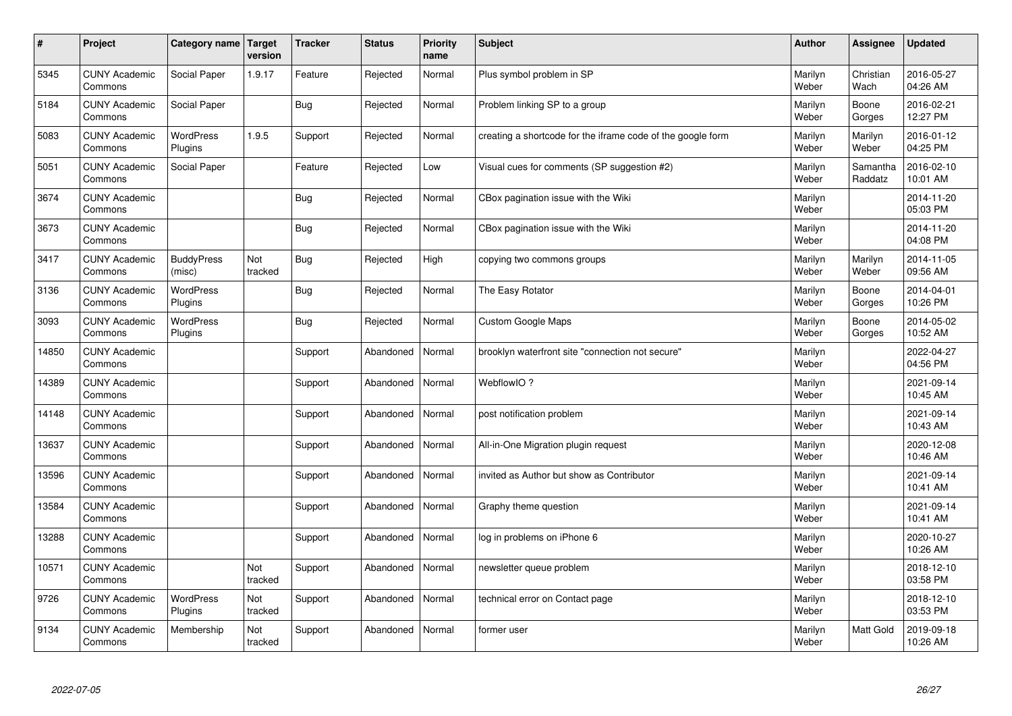| $\sharp$ | Project                         | Category name   Target      | version        | <b>Tracker</b> | <b>Status</b> | <b>Priority</b><br>name | <b>Subject</b>                                              | <b>Author</b>    | <b>Assignee</b>     | <b>Updated</b>         |
|----------|---------------------------------|-----------------------------|----------------|----------------|---------------|-------------------------|-------------------------------------------------------------|------------------|---------------------|------------------------|
| 5345     | <b>CUNY Academic</b><br>Commons | Social Paper                | 1.9.17         | Feature        | Rejected      | Normal                  | Plus symbol problem in SP                                   | Marilyn<br>Weber | Christian<br>Wach   | 2016-05-27<br>04:26 AM |
| 5184     | <b>CUNY Academic</b><br>Commons | Social Paper                |                | Bug            | Rejected      | Normal                  | Problem linking SP to a group                               | Marilyn<br>Weber | Boone<br>Gorges     | 2016-02-21<br>12:27 PM |
| 5083     | <b>CUNY Academic</b><br>Commons | <b>WordPress</b><br>Plugins | 1.9.5          | Support        | Rejected      | Normal                  | creating a shortcode for the iframe code of the google form | Marilyn<br>Weber | Marilyn<br>Weber    | 2016-01-12<br>04:25 PM |
| 5051     | <b>CUNY Academic</b><br>Commons | Social Paper                |                | Feature        | Rejected      | Low                     | Visual cues for comments (SP suggestion #2)                 | Marilyn<br>Weber | Samantha<br>Raddatz | 2016-02-10<br>10:01 AM |
| 3674     | <b>CUNY Academic</b><br>Commons |                             |                | Bug            | Rejected      | Normal                  | CBox pagination issue with the Wiki                         | Marilyn<br>Weber |                     | 2014-11-20<br>05:03 PM |
| 3673     | <b>CUNY Academic</b><br>Commons |                             |                | Bug            | Rejected      | Normal                  | CBox pagination issue with the Wiki                         | Marilyn<br>Weber |                     | 2014-11-20<br>04:08 PM |
| 3417     | <b>CUNY Academic</b><br>Commons | <b>BuddyPress</b><br>(misc) | Not<br>tracked | Bug            | Rejected      | High                    | copying two commons groups                                  | Marilyn<br>Weber | Marilyn<br>Weber    | 2014-11-05<br>09:56 AM |
| 3136     | <b>CUNY Academic</b><br>Commons | WordPress<br>Plugins        |                | Bug            | Rejected      | Normal                  | The Easy Rotator                                            | Marilyn<br>Weber | Boone<br>Gorges     | 2014-04-01<br>10:26 PM |
| 3093     | <b>CUNY Academic</b><br>Commons | <b>WordPress</b><br>Plugins |                | Bug            | Rejected      | Normal                  | <b>Custom Google Maps</b>                                   | Marilyn<br>Weber | Boone<br>Gorges     | 2014-05-02<br>10:52 AM |
| 14850    | <b>CUNY Academic</b><br>Commons |                             |                | Support        | Abandoned     | Normal                  | brooklyn waterfront site "connection not secure"            | Marilyn<br>Weber |                     | 2022-04-27<br>04:56 PM |
| 14389    | <b>CUNY Academic</b><br>Commons |                             |                | Support        | Abandoned     | Normal                  | WebflowIO?                                                  | Marilyn<br>Weber |                     | 2021-09-14<br>10:45 AM |
| 14148    | <b>CUNY Academic</b><br>Commons |                             |                | Support        | Abandoned     | Normal                  | post notification problem                                   | Marilyn<br>Weber |                     | 2021-09-14<br>10:43 AM |
| 13637    | <b>CUNY Academic</b><br>Commons |                             |                | Support        | Abandoned     | Normal                  | All-in-One Migration plugin request                         | Marilyn<br>Weber |                     | 2020-12-08<br>10:46 AM |
| 13596    | <b>CUNY Academic</b><br>Commons |                             |                | Support        | Abandoned     | Normal                  | invited as Author but show as Contributor                   | Marilyn<br>Weber |                     | 2021-09-14<br>10:41 AM |
| 13584    | <b>CUNY Academic</b><br>Commons |                             |                | Support        | Abandoned     | Normal                  | Graphy theme question                                       | Marilyn<br>Weber |                     | 2021-09-14<br>10:41 AM |
| 13288    | <b>CUNY Academic</b><br>Commons |                             |                | Support        | Abandoned     | Normal                  | log in problems on iPhone 6                                 | Marilyn<br>Weber |                     | 2020-10-27<br>10:26 AM |
| 10571    | <b>CUNY Academic</b><br>Commons |                             | Not<br>tracked | Support        | Abandoned     | Normal                  | newsletter queue problem                                    | Marilyn<br>Weber |                     | 2018-12-10<br>03:58 PM |
| 9726     | <b>CUNY Academic</b><br>Commons | <b>WordPress</b><br>Plugins | Not<br>tracked | Support        | Abandoned     | Normal                  | technical error on Contact page                             | Marilyn<br>Weber |                     | 2018-12-10<br>03:53 PM |
| 9134     | <b>CUNY Academic</b><br>Commons | Membership                  | Not<br>tracked | Support        | Abandoned     | Normal                  | former user                                                 | Marilyn<br>Weber | <b>Matt Gold</b>    | 2019-09-18<br>10:26 AM |